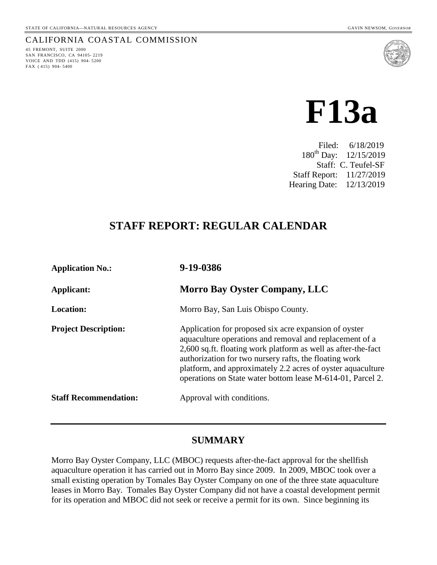#### CALIFORNIA COASTAL COMMISSION

45 FREMONT, SUITE 2000 SAN FRANCISCO, CA 94105- 2219 VOICE AND TDD (415) 904- 5200 FAX ( 415) 904- 5400





 Filed: 6/18/2019 180th Day: 12/15/2019 Staff: C. Teufel-SF Staff Report: 11/27/2019 Hearing Date: 12/13/2019

## **STAFF REPORT: REGULAR CALENDAR**

| <b>Application No.:</b>      | 9-19-0386                                                                                                                                                                                                                                                                                                                                                                |
|------------------------------|--------------------------------------------------------------------------------------------------------------------------------------------------------------------------------------------------------------------------------------------------------------------------------------------------------------------------------------------------------------------------|
| Applicant:                   | <b>Morro Bay Oyster Company, LLC</b>                                                                                                                                                                                                                                                                                                                                     |
| <b>Location:</b>             | Morro Bay, San Luis Obispo County.                                                                                                                                                                                                                                                                                                                                       |
| <b>Project Description:</b>  | Application for proposed six acre expansion of oyster<br>aquaculture operations and removal and replacement of a<br>2,600 sq.ft. floating work platform as well as after-the-fact<br>authorization for two nursery rafts, the floating work<br>platform, and approximately 2.2 acres of oyster aquaculture<br>operations on State water bottom lease M-614-01, Parcel 2. |
| <b>Staff Recommendation:</b> | Approval with conditions.                                                                                                                                                                                                                                                                                                                                                |

## **SUMMARY**

Morro Bay Oyster Company, LLC (MBOC) requests after-the-fact approval for the shellfish aquaculture operation it has carried out in Morro Bay since 2009. In 2009, MBOC took over a small existing operation by Tomales Bay Oyster Company on one of the three state aquaculture leases in Morro Bay. Tomales Bay Oyster Company did not have a coastal development permit for its operation and MBOC did not seek or receive a permit for its own. Since beginning its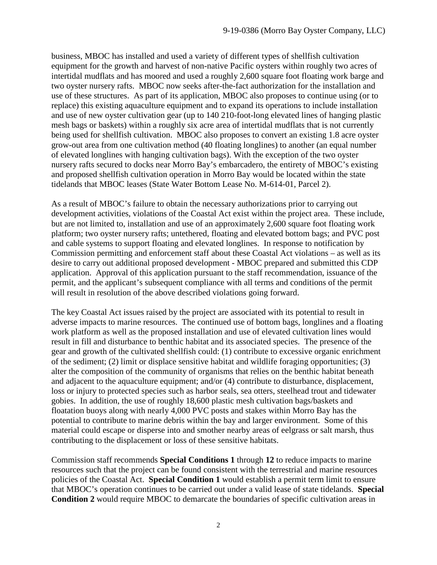business, MBOC has installed and used a variety of different types of shellfish cultivation equipment for the growth and harvest of non-native Pacific oysters within roughly two acres of intertidal mudflats and has moored and used a roughly 2,600 square foot floating work barge and two oyster nursery rafts. MBOC now seeks after-the-fact authorization for the installation and use of these structures. As part of its application, MBOC also proposes to continue using (or to replace) this existing aquaculture equipment and to expand its operations to include installation and use of new oyster cultivation gear (up to 140 210-foot-long elevated lines of hanging plastic mesh bags or baskets) within a roughly six acre area of intertidal mudflats that is not currently being used for shellfish cultivation. MBOC also proposes to convert an existing 1.8 acre oyster grow-out area from one cultivation method (40 floating longlines) to another (an equal number of elevated longlines with hanging cultivation bags). With the exception of the two oyster nursery rafts secured to docks near Morro Bay's embarcadero, the entirety of MBOC's existing and proposed shellfish cultivation operation in Morro Bay would be located within the state tidelands that MBOC leases (State Water Bottom Lease No. M-614-01, Parcel 2).

As a result of MBOC's failure to obtain the necessary authorizations prior to carrying out development activities, violations of the Coastal Act exist within the project area. These include, but are not limited to, installation and use of an approximately 2,600 square foot floating work platform; two oyster nursery rafts; untethered, floating and elevated bottom bags; and PVC post and cable systems to support floating and elevated longlines. In response to notification by Commission permitting and enforcement staff about these Coastal Act violations – as well as its desire to carry out additional proposed development - MBOC prepared and submitted this CDP application. Approval of this application pursuant to the staff recommendation, issuance of the permit, and the applicant's subsequent compliance with all terms and conditions of the permit will result in resolution of the above described violations going forward.

The key Coastal Act issues raised by the project are associated with its potential to result in adverse impacts to marine resources. The continued use of bottom bags, longlines and a floating work platform as well as the proposed installation and use of elevated cultivation lines would result in fill and disturbance to benthic habitat and its associated species. The presence of the gear and growth of the cultivated shellfish could: (1) contribute to excessive organic enrichment of the sediment; (2) limit or displace sensitive habitat and wildlife foraging opportunities; (3) alter the composition of the community of organisms that relies on the benthic habitat beneath and adjacent to the aquaculture equipment; and/or (4) contribute to disturbance, displacement, loss or injury to protected species such as harbor seals, sea otters, steelhead trout and tidewater gobies. In addition, the use of roughly 18,600 plastic mesh cultivation bags/baskets and floatation buoys along with nearly 4,000 PVC posts and stakes within Morro Bay has the potential to contribute to marine debris within the bay and larger environment. Some of this material could escape or disperse into and smother nearby areas of eelgrass or salt marsh, thus contributing to the displacement or loss of these sensitive habitats.

Commission staff recommends **Special Conditions 1** through **12** to reduce impacts to marine resources such that the project can be found consistent with the terrestrial and marine resources policies of the Coastal Act. **Special Condition 1** would establish a permit term limit to ensure that MBOC's operation continues to be carried out under a valid lease of state tidelands. **Special Condition 2** would require MBOC to demarcate the boundaries of specific cultivation areas in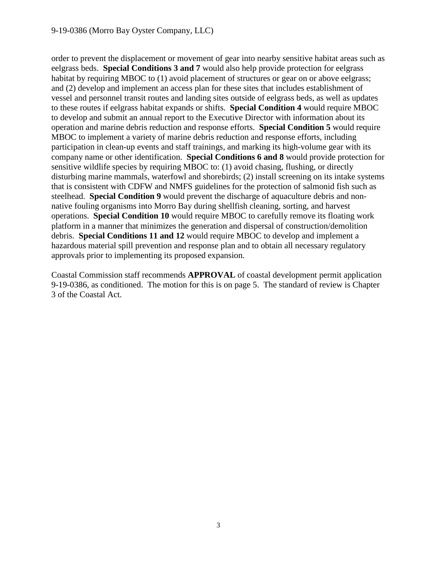#### 9-19-0386 (Morro Bay Oyster Company, LLC)

order to prevent the displacement or movement of gear into nearby sensitive habitat areas such as eelgrass beds. **Special Conditions 3 and 7** would also help provide protection for eelgrass habitat by requiring MBOC to (1) avoid placement of structures or gear on or above eelgrass; and (2) develop and implement an access plan for these sites that includes establishment of vessel and personnel transit routes and landing sites outside of eelgrass beds, as well as updates to these routes if eelgrass habitat expands or shifts. **Special Condition 4** would require MBOC to develop and submit an annual report to the Executive Director with information about its operation and marine debris reduction and response efforts. **Special Condition 5** would require MBOC to implement a variety of marine debris reduction and response efforts, including participation in clean-up events and staff trainings, and marking its high-volume gear with its company name or other identification. **Special Conditions 6 and 8** would provide protection for sensitive wildlife species by requiring MBOC to: (1) avoid chasing, flushing, or directly disturbing marine mammals, waterfowl and shorebirds; (2) install screening on its intake systems that is consistent with CDFW and NMFS guidelines for the protection of salmonid fish such as steelhead. **Special Condition 9** would prevent the discharge of aquaculture debris and nonnative fouling organisms into Morro Bay during shellfish cleaning, sorting, and harvest operations. **Special Condition 10** would require MBOC to carefully remove its floating work platform in a manner that minimizes the generation and dispersal of construction/demolition debris. **Special Conditions 11 and 12** would require MBOC to develop and implement a hazardous material spill prevention and response plan and to obtain all necessary regulatory approvals prior to implementing its proposed expansion.

Coastal Commission staff recommends **APPROVAL** of coastal development permit application 9-19-0386, as conditioned. The motion for this is on page 5. The standard of review is Chapter 3 of the Coastal Act.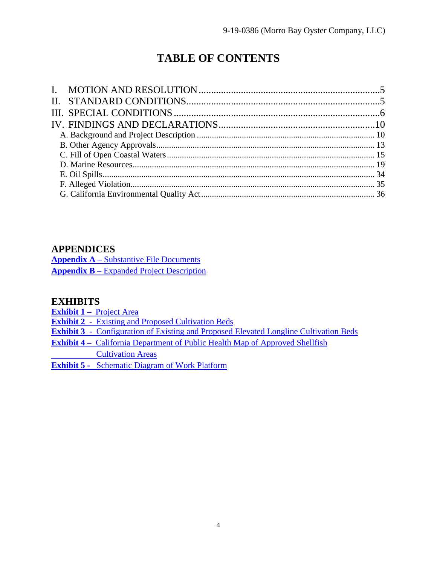# **TABLE OF CONTENTS**

## **APPENDICES**

**Appendix A** – [Substantive File Documents](#page-35-1) **Appendix B** – [Expanded Project Description](#page-38-0)

## **EXHIBITS**

**Exhibit 1 –** [Project Area](https://documents.coastal.ca.gov/reports/2019/12/F13a/F13a-12-2019-exhibits.pdf) 

**Exhibit 2** [- Existing and Proposed Cultivation Beds](https://documents.coastal.ca.gov/reports/2019/12/F13a/F13a-12-2019-exhibits.pdf)

**Exhibit 3** [- Configuration of Existing and Proposed Elevated Longline Cultivation Beds](https://documents.coastal.ca.gov/reports/2019/12/F13a/F13a-12-2019-exhibits.pdf)

- **Exhibit 4** [California Department of Public Health Map of Approved Shellfish](https://documents.coastal.ca.gov/reports/2019/12/F13a/F13a-12-2019-exhibits.pdf) 
	- [Cultivation Areas](https://documents.coastal.ca.gov/reports/2019/12/F13a/F13a-12-2019-exhibits.pdf)

**Exhibit 5 -** [Schematic Diagram of Work Platform](https://documents.coastal.ca.gov/reports/2019/12/F13a/F13a-12-2019-exhibits.pdf)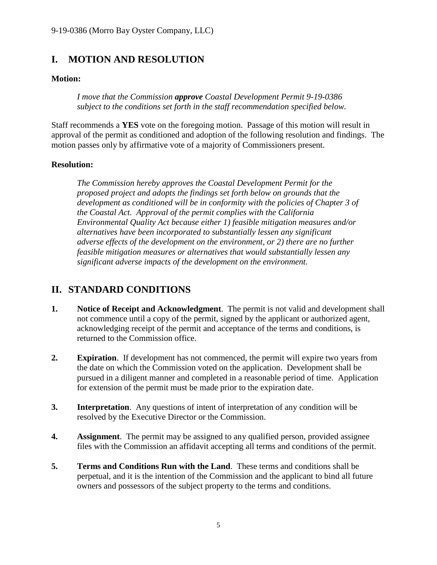## <span id="page-4-0"></span>**I. MOTION AND RESOLUTION**

## **Motion:**

*I move that the Commission approve Coastal Development Permit 9-19-0386 subject to the conditions set forth in the staff recommendation specified below.*

Staff recommends a **YES** vote on the foregoing motion. Passage of this motion will result in approval of the permit as conditioned and adoption of the following resolution and findings. The motion passes only by affirmative vote of a majority of Commissioners present.

## **Resolution:**

*The Commission hereby approves the Coastal Development Permit for the proposed project and adopts the findings set forth below on grounds that the development as conditioned will be in conformity with the policies of Chapter 3 of the Coastal Act. Approval of the permit complies with the California Environmental Quality Act because either 1) feasible mitigation measures and/or alternatives have been incorporated to substantially lessen any significant adverse effects of the development on the environment, or 2) there are no further feasible mitigation measures or alternatives that would substantially lessen any significant adverse impacts of the development on the environment.*

## <span id="page-4-1"></span>**II. STANDARD CONDITIONS**

- **1. Notice of Receipt and Acknowledgment**. The permit is not valid and development shall not commence until a copy of the permit, signed by the applicant or authorized agent, acknowledging receipt of the permit and acceptance of the terms and conditions, is returned to the Commission office.
- **2. Expiration**. If development has not commenced, the permit will expire two years from the date on which the Commission voted on the application. Development shall be pursued in a diligent manner and completed in a reasonable period of time. Application for extension of the permit must be made prior to the expiration date.
- **3. Interpretation**. Any questions of intent of interpretation of any condition will be resolved by the Executive Director or the Commission.
- **4. Assignment**. The permit may be assigned to any qualified person, provided assignee files with the Commission an affidavit accepting all terms and conditions of the permit.
- **5. Terms and Conditions Run with the Land**. These terms and conditions shall be perpetual, and it is the intention of the Commission and the applicant to bind all future owners and possessors of the subject property to the terms and conditions.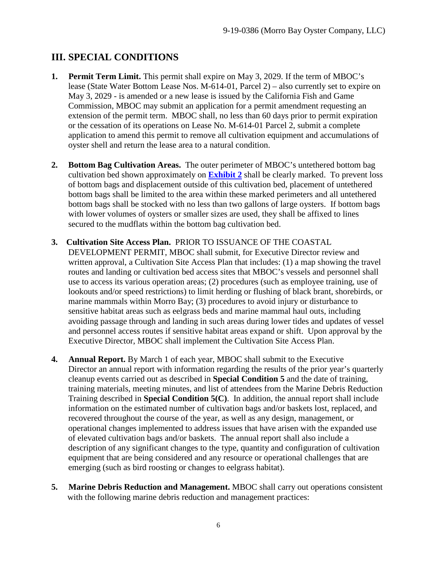## <span id="page-5-0"></span>**III. SPECIAL CONDITIONS**

- **1. Permit Term Limit.** This permit shall expire on May 3, 2029. If the term of MBOC's lease (State Water Bottom Lease Nos. M-614-01, Parcel 2) – also currently set to expire on May 3, 2029 - is amended or a new lease is issued by the California Fish and Game Commission, MBOC may submit an application for a permit amendment requesting an extension of the permit term. MBOC shall, no less than 60 days prior to permit expiration or the cessation of its operations on Lease No. M-614-01 Parcel 2, submit a complete application to amend this permit to remove all cultivation equipment and accumulations of oyster shell and return the lease area to a natural condition.
- **2. Bottom Bag Cultivation Areas.** The outer perimeter of MBOC's untethered bottom bag cultivation bed shown approximately on **[Exhibit 2](https://documents.coastal.ca.gov/reports/2019/12/F13a/F13a-12-2019-exhibits.pdf)** shall be clearly marked. To prevent loss of bottom bags and displacement outside of this cultivation bed, placement of untethered bottom bags shall be limited to the area within these marked perimeters and all untethered bottom bags shall be stocked with no less than two gallons of large oysters. If bottom bags with lower volumes of oysters or smaller sizes are used, they shall be affixed to lines secured to the mudflats within the bottom bag cultivation bed.
- **3. Cultivation Site Access Plan.** PRIOR TO ISSUANCE OF THE COASTAL DEVELOPMENT PERMIT, MBOC shall submit, for Executive Director review and written approval, a Cultivation Site Access Plan that includes: (1) a map showing the travel routes and landing or cultivation bed access sites that MBOC's vessels and personnel shall use to access its various operation areas; (2) procedures (such as employee training, use of lookouts and/or speed restrictions) to limit herding or flushing of black brant, shorebirds, or marine mammals within Morro Bay; (3) procedures to avoid injury or disturbance to sensitive habitat areas such as eelgrass beds and marine mammal haul outs, including avoiding passage through and landing in such areas during lower tides and updates of vessel and personnel access routes if sensitive habitat areas expand or shift. Upon approval by the Executive Director, MBOC shall implement the Cultivation Site Access Plan.
- **4. Annual Report.** By March 1 of each year, MBOC shall submit to the Executive Director an annual report with information regarding the results of the prior year's quarterly cleanup events carried out as described in **Special Condition 5** and the date of training, training materials, meeting minutes, and list of attendees from the Marine Debris Reduction Training described in **Special Condition 5(C)**. In addition, the annual report shall include information on the estimated number of cultivation bags and/or baskets lost, replaced, and recovered throughout the course of the year, as well as any design, management, or operational changes implemented to address issues that have arisen with the expanded use of elevated cultivation bags and/or baskets. The annual report shall also include a description of any significant changes to the type, quantity and configuration of cultivation equipment that are being considered and any resource or operational challenges that are emerging (such as bird roosting or changes to eelgrass habitat).
- **5. Marine Debris Reduction and Management.** MBOC shall carry out operations consistent with the following marine debris reduction and management practices: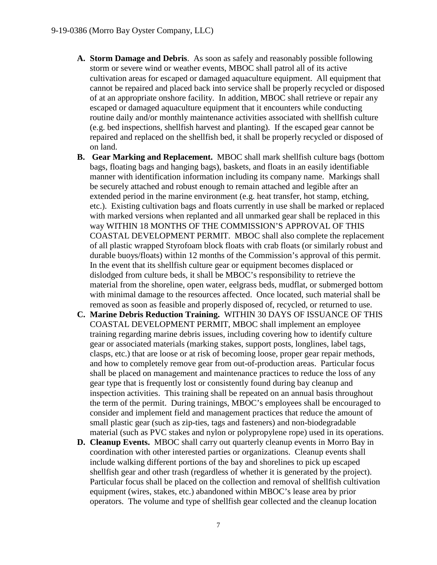- **A. Storm Damage and Debris**. As soon as safely and reasonably possible following storm or severe wind or weather events, MBOC shall patrol all of its active cultivation areas for escaped or damaged aquaculture equipment. All equipment that cannot be repaired and placed back into service shall be properly recycled or disposed of at an appropriate onshore facility. In addition, MBOC shall retrieve or repair any escaped or damaged aquaculture equipment that it encounters while conducting routine daily and/or monthly maintenance activities associated with shellfish culture (e.g. bed inspections, shellfish harvest and planting). If the escaped gear cannot be repaired and replaced on the shellfish bed, it shall be properly recycled or disposed of on land.
- **B. Gear Marking and Replacement.** MBOC shall mark shellfish culture bags (bottom bags, floating bags and hanging bags), baskets, and floats in an easily identifiable manner with identification information including its company name. Markings shall be securely attached and robust enough to remain attached and legible after an extended period in the marine environment (e.g. heat transfer, hot stamp, etching, etc.). Existing cultivation bags and floats currently in use shall be marked or replaced with marked versions when replanted and all unmarked gear shall be replaced in this way WITHIN 18 MONTHS OF THE COMMISSION'S APPROVAL OF THIS COASTAL DEVELOPMENT PERMIT. MBOC shall also complete the replacement of all plastic wrapped Styrofoam block floats with crab floats (or similarly robust and durable buoys/floats) within 12 months of the Commission's approval of this permit. In the event that its shellfish culture gear or equipment becomes displaced or dislodged from culture beds, it shall be MBOC's responsibility to retrieve the material from the shoreline, open water, eelgrass beds, mudflat, or submerged bottom with minimal damage to the resources affected. Once located, such material shall be removed as soon as feasible and properly disposed of, recycled, or returned to use.
- **C. Marine Debris Reduction Training.** WITHIN 30 DAYS OF ISSUANCE OF THIS COASTAL DEVELOPMENT PERMIT, MBOC shall implement an employee training regarding marine debris issues, including covering how to identify culture gear or associated materials (marking stakes, support posts, longlines, label tags, clasps, etc.) that are loose or at risk of becoming loose, proper gear repair methods, and how to completely remove gear from out-of-production areas. Particular focus shall be placed on management and maintenance practices to reduce the loss of any gear type that is frequently lost or consistently found during bay cleanup and inspection activities. This training shall be repeated on an annual basis throughout the term of the permit. During trainings, MBOC's employees shall be encouraged to consider and implement field and management practices that reduce the amount of small plastic gear (such as zip-ties, tags and fasteners) and non-biodegradable material (such as PVC stakes and nylon or polypropylene rope) used in its operations.
- **D. Cleanup Events.** MBOC shall carry out quarterly cleanup events in Morro Bay in coordination with other interested parties or organizations. Cleanup events shall include walking different portions of the bay and shorelines to pick up escaped shellfish gear and other trash (regardless of whether it is generated by the project). Particular focus shall be placed on the collection and removal of shellfish cultivation equipment (wires, stakes, etc.) abandoned within MBOC's lease area by prior operators. The volume and type of shellfish gear collected and the cleanup location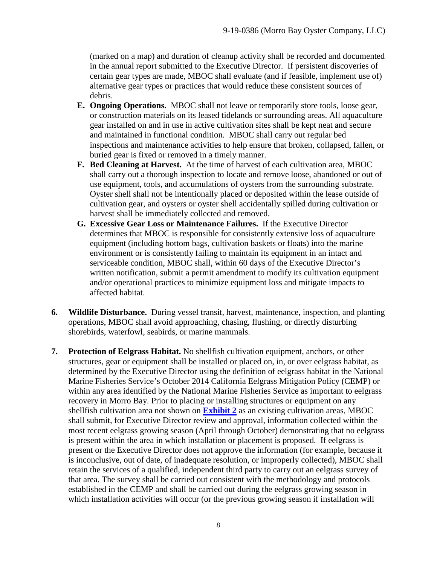(marked on a map) and duration of cleanup activity shall be recorded and documented in the annual report submitted to the Executive Director. If persistent discoveries of certain gear types are made, MBOC shall evaluate (and if feasible, implement use of) alternative gear types or practices that would reduce these consistent sources of debris.

- **E. Ongoing Operations.** MBOC shall not leave or temporarily store tools, loose gear, or construction materials on its leased tidelands or surrounding areas. All aquaculture gear installed on and in use in active cultivation sites shall be kept neat and secure and maintained in functional condition. MBOC shall carry out regular bed inspections and maintenance activities to help ensure that broken, collapsed, fallen, or buried gear is fixed or removed in a timely manner.
- **F. Bed Cleaning at Harvest.** At the time of harvest of each cultivation area, MBOC shall carry out a thorough inspection to locate and remove loose, abandoned or out of use equipment, tools, and accumulations of oysters from the surrounding substrate. Oyster shell shall not be intentionally placed or deposited within the lease outside of cultivation gear, and oysters or oyster shell accidentally spilled during cultivation or harvest shall be immediately collected and removed.
- **G. Excessive Gear Loss or Maintenance Failures.** If the Executive Director determines that MBOC is responsible for consistently extensive loss of aquaculture equipment (including bottom bags, cultivation baskets or floats) into the marine environment or is consistently failing to maintain its equipment in an intact and serviceable condition, MBOC shall, within 60 days of the Executive Director's written notification, submit a permit amendment to modify its cultivation equipment and/or operational practices to minimize equipment loss and mitigate impacts to affected habitat.
- **6. Wildlife Disturbance.** During vessel transit, harvest, maintenance, inspection, and planting operations, MBOC shall avoid approaching, chasing, flushing, or directly disturbing shorebirds, waterfowl, seabirds, or marine mammals.
- **7. Protection of Eelgrass Habitat.** No shellfish cultivation equipment, anchors, or other structures, gear or equipment shall be installed or placed on, in, or over eelgrass habitat, as determined by the Executive Director using the definition of eelgrass habitat in the National Marine Fisheries Service's October 2014 California Eelgrass Mitigation Policy (CEMP) or within any area identified by the National Marine Fisheries Service as important to eelgrass recovery in Morro Bay. Prior to placing or installing structures or equipment on any shellfish cultivation area not shown on **[Exhibit 2](https://documents.coastal.ca.gov/reports/2019/12/F13a/F13a-12-2019-exhibits.pdf)** as an existing cultivation areas, MBOC shall submit, for Executive Director review and approval, information collected within the most recent eelgrass growing season (April through October) demonstrating that no eelgrass is present within the area in which installation or placement is proposed. If eelgrass is present or the Executive Director does not approve the information (for example, because it is inconclusive, out of date, of inadequate resolution, or improperly collected), MBOC shall retain the services of a qualified, independent third party to carry out an eelgrass survey of that area. The survey shall be carried out consistent with the methodology and protocols established in the CEMP and shall be carried out during the eelgrass growing season in which installation activities will occur (or the previous growing season if installation will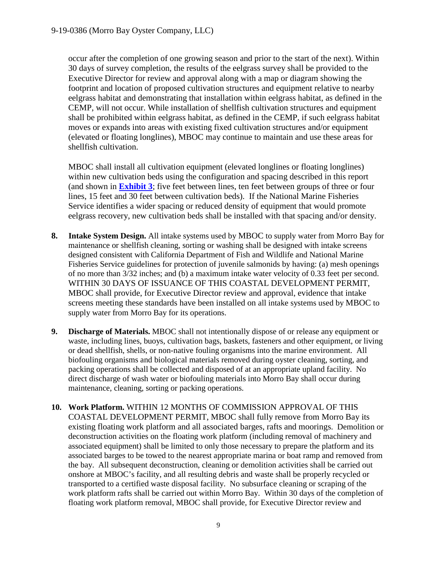occur after the completion of one growing season and prior to the start of the next). Within 30 days of survey completion, the results of the eelgrass survey shall be provided to the Executive Director for review and approval along with a map or diagram showing the footprint and location of proposed cultivation structures and equipment relative to nearby eelgrass habitat and demonstrating that installation within eelgrass habitat, as defined in the CEMP, will not occur. While installation of shellfish cultivation structures and equipment shall be prohibited within eelgrass habitat, as defined in the CEMP, if such eelgrass habitat moves or expands into areas with existing fixed cultivation structures and/or equipment (elevated or floating longlines), MBOC may continue to maintain and use these areas for shellfish cultivation.

MBOC shall install all cultivation equipment (elevated longlines or floating longlines) within new cultivation beds using the configuration and spacing described in this report (and shown in **[Exhibit 3](https://documents.coastal.ca.gov/reports/2019/12/F13a/F13a-12-2019-exhibits.pdf)**; five feet between lines, ten feet between groups of three or four lines, 15 feet and 30 feet between cultivation beds). If the National Marine Fisheries Service identifies a wider spacing or reduced density of equipment that would promote eelgrass recovery, new cultivation beds shall be installed with that spacing and/or density.

- **8. Intake System Design.** All intake systems used by MBOC to supply water from Morro Bay for maintenance or shellfish cleaning, sorting or washing shall be designed with intake screens designed consistent with California Department of Fish and Wildlife and National Marine Fisheries Service guidelines for protection of juvenile salmonids by having: (a) mesh openings of no more than 3/32 inches; and (b) a maximum intake water velocity of 0.33 feet per second. WITHIN 30 DAYS OF ISSUANCE OF THIS COASTAL DEVELOPMENT PERMIT, MBOC shall provide, for Executive Director review and approval, evidence that intake screens meeting these standards have been installed on all intake systems used by MBOC to supply water from Morro Bay for its operations.
- **9. Discharge of Materials.** MBOC shall not intentionally dispose of or release any equipment or waste, including lines, buoys, cultivation bags, baskets, fasteners and other equipment, or living or dead shellfish, shells, or non-native fouling organisms into the marine environment. All biofouling organisms and biological materials removed during oyster cleaning, sorting, and packing operations shall be collected and disposed of at an appropriate upland facility. No direct discharge of wash water or biofouling materials into Morro Bay shall occur during maintenance, cleaning, sorting or packing operations.
- **10. Work Platform.** WITHIN 12 MONTHS OF COMMISSION APPROVAL OF THIS COASTAL DEVELOPMENT PERMIT, MBOC shall fully remove from Morro Bay its existing floating work platform and all associated barges, rafts and moorings. Demolition or deconstruction activities on the floating work platform (including removal of machinery and associated equipment) shall be limited to only those necessary to prepare the platform and its associated barges to be towed to the nearest appropriate marina or boat ramp and removed from the bay. All subsequent deconstruction, cleaning or demolition activities shall be carried out onshore at MBOC's facility, and all resulting debris and waste shall be properly recycled or transported to a certified waste disposal facility. No subsurface cleaning or scraping of the work platform rafts shall be carried out within Morro Bay. Within 30 days of the completion of floating work platform removal, MBOC shall provide, for Executive Director review and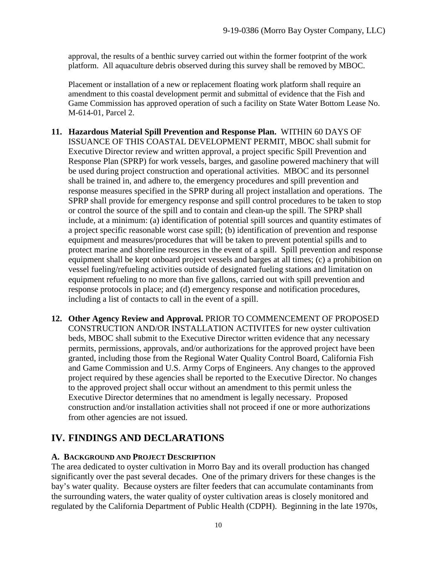approval, the results of a benthic survey carried out within the former footprint of the work platform. All aquaculture debris observed during this survey shall be removed by MBOC.

Placement or installation of a new or replacement floating work platform shall require an amendment to this coastal development permit and submittal of evidence that the Fish and Game Commission has approved operation of such a facility on State Water Bottom Lease No. M-614-01, Parcel 2.

- **11. Hazardous Material Spill Prevention and Response Plan.** WITHIN 60 DAYS OF ISSUANCE OF THIS COASTAL DEVELOPMENT PERMIT, MBOC shall submit for Executive Director review and written approval, a project specific Spill Prevention and Response Plan (SPRP) for work vessels, barges, and gasoline powered machinery that will be used during project construction and operational activities. MBOC and its personnel shall be trained in, and adhere to, the emergency procedures and spill prevention and response measures specified in the SPRP during all project installation and operations. The SPRP shall provide for emergency response and spill control procedures to be taken to stop or control the source of the spill and to contain and clean-up the spill. The SPRP shall include, at a minimum: (a) identification of potential spill sources and quantity estimates of a project specific reasonable worst case spill; (b) identification of prevention and response equipment and measures/procedures that will be taken to prevent potential spills and to protect marine and shoreline resources in the event of a spill. Spill prevention and response equipment shall be kept onboard project vessels and barges at all times; (c) a prohibition on vessel fueling/refueling activities outside of designated fueling stations and limitation on equipment refueling to no more than five gallons, carried out with spill prevention and response protocols in place; and (d) emergency response and notification procedures, including a list of contacts to call in the event of a spill.
- **12. Other Agency Review and Approval.** PRIOR TO COMMENCEMENT OF PROPOSED CONSTRUCTION AND/OR INSTALLATION ACTIVITES for new oyster cultivation beds, MBOC shall submit to the Executive Director written evidence that any necessary permits, permissions, approvals, and/or authorizations for the approved project have been granted, including those from the Regional Water Quality Control Board, California Fish and Game Commission and U.S. Army Corps of Engineers. Any changes to the approved project required by these agencies shall be reported to the Executive Director. No changes to the approved project shall occur without an amendment to this permit unless the Executive Director determines that no amendment is legally necessary. Proposed construction and/or installation activities shall not proceed if one or more authorizations from other agencies are not issued.

## <span id="page-9-0"></span>**IV. FINDINGS AND DECLARATIONS**

## <span id="page-9-1"></span>**A. BACKGROUND AND PROJECT DESCRIPTION**

The area dedicated to oyster cultivation in Morro Bay and its overall production has changed significantly over the past several decades. One of the primary drivers for these changes is the bay's water quality. Because oysters are filter feeders that can accumulate contaminants from the surrounding waters, the water quality of oyster cultivation areas is closely monitored and regulated by the California Department of Public Health (CDPH). Beginning in the late 1970s,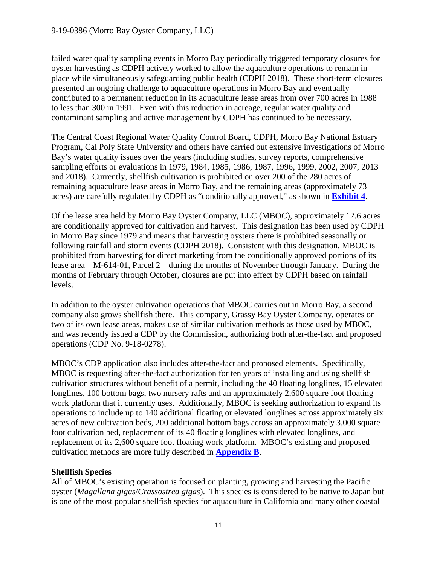failed water quality sampling events in Morro Bay periodically triggered temporary closures for oyster harvesting as CDPH actively worked to allow the aquaculture operations to remain in place while simultaneously safeguarding public health (CDPH 2018). These short-term closures presented an ongoing challenge to aquaculture operations in Morro Bay and eventually contributed to a permanent reduction in its aquaculture lease areas from over 700 acres in 1988 to less than 300 in 1991. Even with this reduction in acreage, regular water quality and contaminant sampling and active management by CDPH has continued to be necessary.

The Central Coast Regional Water Quality Control Board, CDPH, Morro Bay National Estuary Program, Cal Poly State University and others have carried out extensive investigations of Morro Bay's water quality issues over the years (including studies, survey reports, comprehensive sampling efforts or evaluations in 1979, 1984, 1985, 1986, 1987, 1996, 1999, 2002, 2007, 2013 and 2018). Currently, shellfish cultivation is prohibited on over 200 of the 280 acres of remaining aquaculture lease areas in Morro Bay, and the remaining areas (approximately 73 acres) are carefully regulated by CDPH as "conditionally approved," as shown in **[Exhibit 4](https://documents.coastal.ca.gov/reports/2019/12/F13a/F13a-12-2019-exhibits.pdf)**.

Of the lease area held by Morro Bay Oyster Company, LLC (MBOC), approximately 12.6 acres are conditionally approved for cultivation and harvest. This designation has been used by CDPH in Morro Bay since 1979 and means that harvesting oysters there is prohibited seasonally or following rainfall and storm events (CDPH 2018). Consistent with this designation, MBOC is prohibited from harvesting for direct marketing from the conditionally approved portions of its lease area – M-614-01, Parcel 2 – during the months of November through January. During the months of February through October, closures are put into effect by CDPH based on rainfall levels.

In addition to the oyster cultivation operations that MBOC carries out in Morro Bay, a second company also grows shellfish there. This company, Grassy Bay Oyster Company, operates on two of its own lease areas, makes use of similar cultivation methods as those used by MBOC, and was recently issued a CDP by the Commission, authorizing both after-the-fact and proposed operations (CDP No. 9-18-0278).

MBOC's CDP application also includes after-the-fact and proposed elements. Specifically, MBOC is requesting after-the-fact authorization for ten years of installing and using shellfish cultivation structures without benefit of a permit, including the 40 floating longlines, 15 elevated longlines, 100 bottom bags, two nursery rafts and an approximately 2,600 square foot floating work platform that it currently uses. Additionally, MBOC is seeking authorization to expand its operations to include up to 140 additional floating or elevated longlines across approximately six acres of new cultivation beds, 200 additional bottom bags across an approximately 3,000 square foot cultivation bed, replacement of its 40 floating longlines with elevated longlines, and replacement of its 2,600 square foot floating work platform. MBOC's existing and proposed cultivation methods are more fully described in **[Appendix B](#page-38-0)**.

## **Shellfish Species**

All of MBOC's existing operation is focused on planting, growing and harvesting the Pacific oyster (*Magallana gigas*/*Crassostrea gigas*). This species is considered to be native to Japan but is one of the most popular shellfish species for aquaculture in California and many other coastal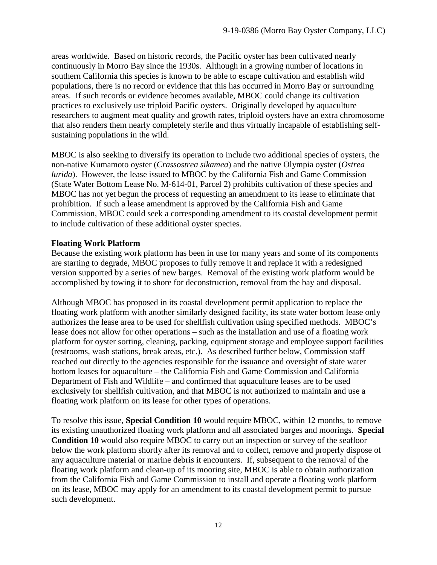areas worldwide. Based on historic records, the Pacific oyster has been cultivated nearly continuously in Morro Bay since the 1930s. Although in a growing number of locations in southern California this species is known to be able to escape cultivation and establish wild populations, there is no record or evidence that this has occurred in Morro Bay or surrounding areas. If such records or evidence becomes available, MBOC could change its cultivation practices to exclusively use triploid Pacific oysters. Originally developed by aquaculture researchers to augment meat quality and growth rates, triploid oysters have an extra chromosome that also renders them nearly completely sterile and thus virtually incapable of establishing selfsustaining populations in the wild.

MBOC is also seeking to diversify its operation to include two additional species of oysters, the non-native Kumamoto oyster (*Crassostrea sikamea*) and the native Olympia oyster (*Ostrea lurida*). However, the lease issued to MBOC by the California Fish and Game Commission (State Water Bottom Lease No. M-614-01, Parcel 2) prohibits cultivation of these species and MBOC has not yet begun the process of requesting an amendment to its lease to eliminate that prohibition. If such a lease amendment is approved by the California Fish and Game Commission, MBOC could seek a corresponding amendment to its coastal development permit to include cultivation of these additional oyster species.

## **Floating Work Platform**

Because the existing work platform has been in use for many years and some of its components are starting to degrade, MBOC proposes to fully remove it and replace it with a redesigned version supported by a series of new barges. Removal of the existing work platform would be accomplished by towing it to shore for deconstruction, removal from the bay and disposal.

Although MBOC has proposed in its coastal development permit application to replace the floating work platform with another similarly designed facility, its state water bottom lease only authorizes the lease area to be used for shellfish cultivation using specified methods. MBOC's lease does not allow for other operations – such as the installation and use of a floating work platform for oyster sorting, cleaning, packing, equipment storage and employee support facilities (restrooms, wash stations, break areas, etc.). As described further below, Commission staff reached out directly to the agencies responsible for the issuance and oversight of state water bottom leases for aquaculture – the California Fish and Game Commission and California Department of Fish and Wildlife – and confirmed that aquaculture leases are to be used exclusively for shellfish cultivation, and that MBOC is not authorized to maintain and use a floating work platform on its lease for other types of operations.

To resolve this issue, **Special Condition 10** would require MBOC, within 12 months, to remove its existing unauthorized floating work platform and all associated barges and moorings. **Special Condition 10** would also require MBOC to carry out an inspection or survey of the seafloor below the work platform shortly after its removal and to collect, remove and properly dispose of any aquaculture material or marine debris it encounters. If, subsequent to the removal of the floating work platform and clean-up of its mooring site, MBOC is able to obtain authorization from the California Fish and Game Commission to install and operate a floating work platform on its lease, MBOC may apply for an amendment to its coastal development permit to pursue such development.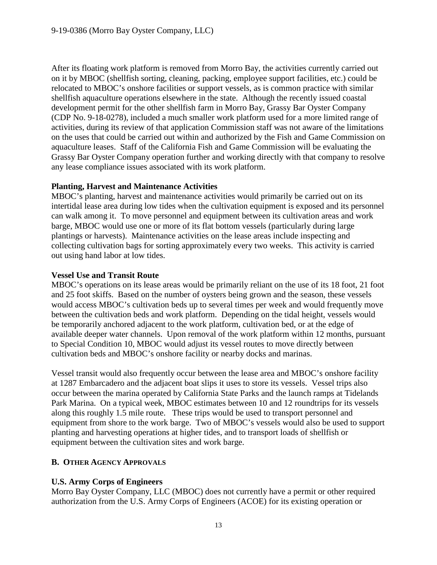After its floating work platform is removed from Morro Bay, the activities currently carried out on it by MBOC (shellfish sorting, cleaning, packing, employee support facilities, etc.) could be relocated to MBOC's onshore facilities or support vessels, as is common practice with similar shellfish aquaculture operations elsewhere in the state. Although the recently issued coastal development permit for the other shellfish farm in Morro Bay, Grassy Bar Oyster Company (CDP No. 9-18-0278), included a much smaller work platform used for a more limited range of activities, during its review of that application Commission staff was not aware of the limitations on the uses that could be carried out within and authorized by the Fish and Game Commission on aquaculture leases. Staff of the California Fish and Game Commission will be evaluating the Grassy Bar Oyster Company operation further and working directly with that company to resolve any lease compliance issues associated with its work platform.

#### **Planting, Harvest and Maintenance Activities**

MBOC's planting, harvest and maintenance activities would primarily be carried out on its intertidal lease area during low tides when the cultivation equipment is exposed and its personnel can walk among it. To move personnel and equipment between its cultivation areas and work barge, MBOC would use one or more of its flat bottom vessels (particularly during large plantings or harvests). Maintenance activities on the lease areas include inspecting and collecting cultivation bags for sorting approximately every two weeks. This activity is carried out using hand labor at low tides.

#### **Vessel Use and Transit Route**

MBOC's operations on its lease areas would be primarily reliant on the use of its 18 foot, 21 foot and 25 foot skiffs. Based on the number of oysters being grown and the season, these vessels would access MBOC's cultivation beds up to several times per week and would frequently move between the cultivation beds and work platform. Depending on the tidal height, vessels would be temporarily anchored adjacent to the work platform, cultivation bed, or at the edge of available deeper water channels. Upon removal of the work platform within 12 months, pursuant to Special Condition 10, MBOC would adjust its vessel routes to move directly between cultivation beds and MBOC's onshore facility or nearby docks and marinas.

Vessel transit would also frequently occur between the lease area and MBOC's onshore facility at 1287 Embarcadero and the adjacent boat slips it uses to store its vessels. Vessel trips also occur between the marina operated by California State Parks and the launch ramps at Tidelands Park Marina. On a typical week, MBOC estimates between 10 and 12 roundtrips for its vessels along this roughly 1.5 mile route. These trips would be used to transport personnel and equipment from shore to the work barge. Two of MBOC's vessels would also be used to support planting and harvesting operations at higher tides, and to transport loads of shellfish or equipment between the cultivation sites and work barge.

## <span id="page-12-0"></span>**B. OTHER AGENCY APPROVALS**

## **U.S. Army Corps of Engineers**

Morro Bay Oyster Company, LLC (MBOC) does not currently have a permit or other required authorization from the U.S. Army Corps of Engineers (ACOE) for its existing operation or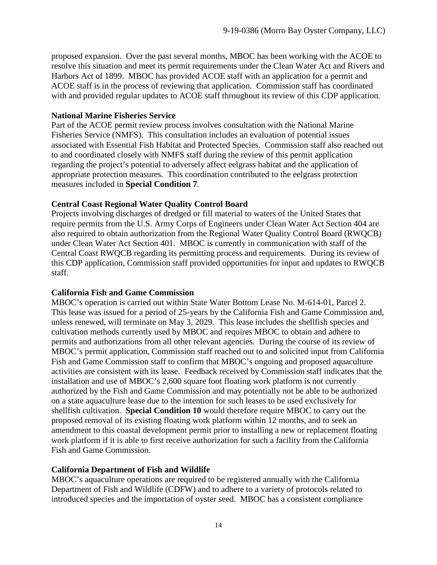proposed expansion. Over the past several months, MBOC has been working with the ACOE to resolve this situation and meet its permit requirements under the Clean Water Act and Rivers and Harbors Act of 1899. MBOC has provided ACOE staff with an application for a permit and ACOE staff is in the process of reviewing that application. Commission staff has coordinated with and provided regular updates to ACOE staff throughout its review of this CDP application.

#### **National Marine Fisheries Service**

Part of the ACOE permit review process involves consultation with the National Marine Fisheries Service (NMFS). This consultation includes an evaluation of potential issues associated with Essential Fish Habitat and Protected Species. Commission staff also reached out to and coordinated closely with NMFS staff during the review of this permit application regarding the project's potential to adversely affect eelgrass habitat and the application of appropriate protection measures. This coordination contributed to the eelgrass protection measures included in **Special Condition 7**.

## **Central Coast Regional Water Quality Control Board**

Projects involving discharges of dredged or fill material to waters of the United States that require permits from the U.S. Army Corps of Engineers under Clean Water Act Section 404 are also required to obtain authorization from the Regional Water Quality Control Board (RWQCB) under Clean Water Act Section 401. MBOC is currently in communication with staff of the Central Coast RWQCB regarding its permitting process and requirements. During its review of this CDP application, Commission staff provided opportunities for input and updates to RWQCB staff.

## **California Fish and Game Commission**

MBOC's operation is carried out within State Water Bottom Lease No. M-614-01, Parcel 2. This lease was issued for a period of 25-years by the California Fish and Game Commission and, unless renewed, will terminate on May 3, 2029. This lease includes the shellfish species and cultivation methods currently used by MBOC and requires MBOC to obtain and adhere to permits and authorizations from all other relevant agencies. During the course of its review of MBOC's permit application, Commission staff reached out to and solicited input from California Fish and Game Commission staff to confirm that MBOC's ongoing and proposed aquaculture activities are consistent with its lease. Feedback received by Commission staff indicates that the installation and use of MBOC's 2,600 square foot floating work platform is not currently authorized by the Fish and Game Commission and may potentially not be able to be authorized on a state aquaculture lease due to the intention for such leases to be used exclusively for shellfish cultivation. **Special Condition 10** would therefore require MBOC to carry out the proposed removal of its existing floating work platform within 12 months, and to seek an amendment to this coastal development permit prior to installing a new or replacement floating work platform if it is able to first receive authorization for such a facility from the California Fish and Game Commission.

## **California Department of Fish and Wildlife**

MBOC's aquaculture operations are required to be registered annually with the California Department of Fish and Wildlife (CDFW) and to adhere to a variety of protocols related to introduced species and the importation of oyster seed. MBOC has a consistent compliance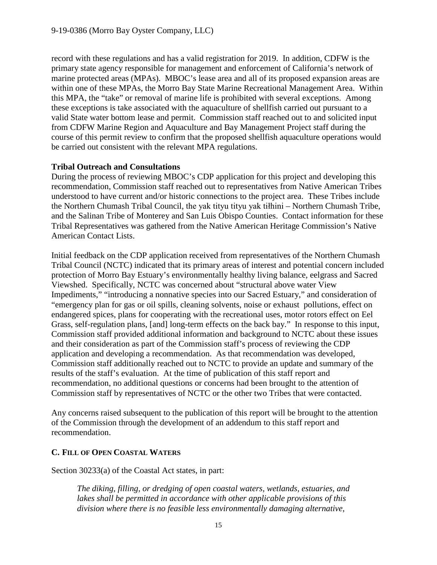record with these regulations and has a valid registration for 2019. In addition, CDFW is the primary state agency responsible for management and enforcement of California's network of marine protected areas (MPAs). MBOC's lease area and all of its proposed expansion areas are within one of these MPAs, the Morro Bay State Marine Recreational Management Area. Within this MPA, the "take" or removal of marine life is prohibited with several exceptions. Among these exceptions is take associated with the aquaculture of shellfish carried out pursuant to a valid State water bottom lease and permit. Commission staff reached out to and solicited input from CDFW Marine Region and Aquaculture and Bay Management Project staff during the course of this permit review to confirm that the proposed shellfish aquaculture operations would be carried out consistent with the relevant MPA regulations.

## **Tribal Outreach and Consultations**

During the process of reviewing MBOC's CDP application for this project and developing this recommendation, Commission staff reached out to representatives from Native American Tribes understood to have current and/or historic connections to the project area. These Tribes include the Northern Chumash Tribal Council, the yak tityu tityu yak tiłhini – Northern Chumash Tribe, and the Salinan Tribe of Monterey and San Luis Obispo Counties. Contact information for these Tribal Representatives was gathered from the Native American Heritage Commission's Native American Contact Lists.

Initial feedback on the CDP application received from representatives of the Northern Chumash Tribal Council (NCTC) indicated that its primary areas of interest and potential concern included protection of Morro Bay Estuary's environmentally healthy living balance, eelgrass and Sacred Viewshed. Specifically, NCTC was concerned about "structural above water View Impediments," "introducing a nonnative species into our Sacred Estuary," and consideration of "emergency plan for gas or oil spills, cleaning solvents, noise or exhaust pollutions, effect on endangered spices, plans for cooperating with the recreational uses, motor rotors effect on Eel Grass, self-regulation plans, [and] long-term effects on the back bay." In response to this input, Commission staff provided additional information and background to NCTC about these issues and their consideration as part of the Commission staff's process of reviewing the CDP application and developing a recommendation. As that recommendation was developed, Commission staff additionally reached out to NCTC to provide an update and summary of the results of the staff's evaluation. At the time of publication of this staff report and recommendation, no additional questions or concerns had been brought to the attention of Commission staff by representatives of NCTC or the other two Tribes that were contacted.

Any concerns raised subsequent to the publication of this report will be brought to the attention of the Commission through the development of an addendum to this staff report and recommendation.

## <span id="page-14-0"></span>**C. FILL OF OPEN COASTAL WATERS**

Section 30233(a) of the Coastal Act states, in part:

*The diking, filling, or dredging of open coastal waters, wetlands, estuaries, and lakes shall be permitted in accordance with other applicable provisions of this division where there is no feasible less environmentally damaging alternative,*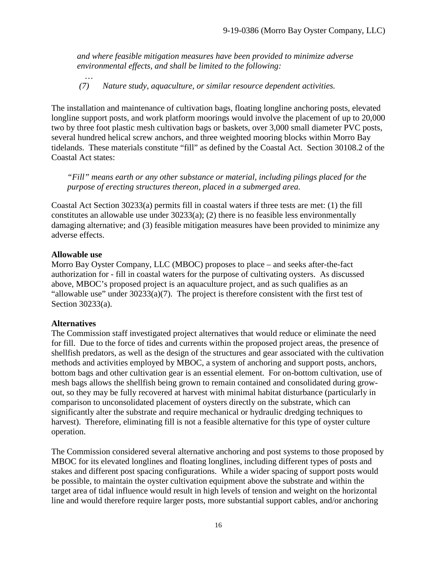*and where feasible mitigation measures have been provided to minimize adverse environmental effects, and shall be limited to the following:*

*(7) Nature study, aquaculture, or similar resource dependent activities.*

The installation and maintenance of cultivation bags, floating longline anchoring posts, elevated longline support posts, and work platform moorings would involve the placement of up to 20,000 two by three foot plastic mesh cultivation bags or baskets, over 3,000 small diameter PVC posts, several hundred helical screw anchors, and three weighted mooring blocks within Morro Bay tidelands. These materials constitute "fill" as defined by the Coastal Act. Section 30108.2 of the Coastal Act states:

*"Fill" means earth or any other substance or material, including pilings placed for the purpose of erecting structures thereon, placed in a submerged area.*

Coastal Act Section 30233(a) permits fill in coastal waters if three tests are met: (1) the fill constitutes an allowable use under 30233(a); (2) there is no feasible less environmentally damaging alternative; and (3) feasible mitigation measures have been provided to minimize any adverse effects.

#### **Allowable use**

*…*

Morro Bay Oyster Company, LLC (MBOC) proposes to place – and seeks after-the-fact authorization for - fill in coastal waters for the purpose of cultivating oysters. As discussed above, MBOC's proposed project is an aquaculture project, and as such qualifies as an "allowable use" under  $30233(a)(7)$ . The project is therefore consistent with the first test of Section 30233(a).

## **Alternatives**

The Commission staff investigated project alternatives that would reduce or eliminate the need for fill. Due to the force of tides and currents within the proposed project areas, the presence of shellfish predators, as well as the design of the structures and gear associated with the cultivation methods and activities employed by MBOC, a system of anchoring and support posts, anchors, bottom bags and other cultivation gear is an essential element. For on-bottom cultivation, use of mesh bags allows the shellfish being grown to remain contained and consolidated during growout, so they may be fully recovered at harvest with minimal habitat disturbance (particularly in comparison to unconsolidated placement of oysters directly on the substrate, which can significantly alter the substrate and require mechanical or hydraulic dredging techniques to harvest). Therefore, eliminating fill is not a feasible alternative for this type of oyster culture operation.

The Commission considered several alternative anchoring and post systems to those proposed by MBOC for its elevated longlines and floating longlines, including different types of posts and stakes and different post spacing configurations. While a wider spacing of support posts would be possible, to maintain the oyster cultivation equipment above the substrate and within the target area of tidal influence would result in high levels of tension and weight on the horizontal line and would therefore require larger posts, more substantial support cables, and/or anchoring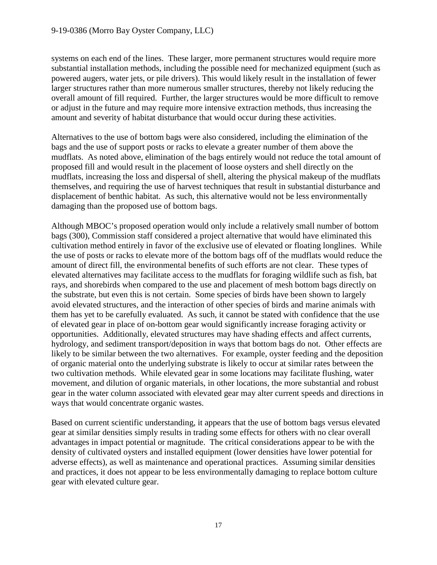systems on each end of the lines. These larger, more permanent structures would require more substantial installation methods, including the possible need for mechanized equipment (such as powered augers, water jets, or pile drivers). This would likely result in the installation of fewer larger structures rather than more numerous smaller structures, thereby not likely reducing the overall amount of fill required. Further, the larger structures would be more difficult to remove or adjust in the future and may require more intensive extraction methods, thus increasing the amount and severity of habitat disturbance that would occur during these activities.

Alternatives to the use of bottom bags were also considered, including the elimination of the bags and the use of support posts or racks to elevate a greater number of them above the mudflats. As noted above, elimination of the bags entirely would not reduce the total amount of proposed fill and would result in the placement of loose oysters and shell directly on the mudflats, increasing the loss and dispersal of shell, altering the physical makeup of the mudflats themselves, and requiring the use of harvest techniques that result in substantial disturbance and displacement of benthic habitat. As such, this alternative would not be less environmentally damaging than the proposed use of bottom bags.

Although MBOC's proposed operation would only include a relatively small number of bottom bags (300), Commission staff considered a project alternative that would have eliminated this cultivation method entirely in favor of the exclusive use of elevated or floating longlines. While the use of posts or racks to elevate more of the bottom bags off of the mudflats would reduce the amount of direct fill, the environmental benefits of such efforts are not clear. These types of elevated alternatives may facilitate access to the mudflats for foraging wildlife such as fish, bat rays, and shorebirds when compared to the use and placement of mesh bottom bags directly on the substrate, but even this is not certain. Some species of birds have been shown to largely avoid elevated structures, and the interaction of other species of birds and marine animals with them has yet to be carefully evaluated. As such, it cannot be stated with confidence that the use of elevated gear in place of on-bottom gear would significantly increase foraging activity or opportunities. Additionally, elevated structures may have shading effects and affect currents, hydrology, and sediment transport/deposition in ways that bottom bags do not. Other effects are likely to be similar between the two alternatives. For example, oyster feeding and the deposition of organic material onto the underlying substrate is likely to occur at similar rates between the two cultivation methods. While elevated gear in some locations may facilitate flushing, water movement, and dilution of organic materials, in other locations, the more substantial and robust gear in the water column associated with elevated gear may alter current speeds and directions in ways that would concentrate organic wastes.

Based on current scientific understanding, it appears that the use of bottom bags versus elevated gear at similar densities simply results in trading some effects for others with no clear overall advantages in impact potential or magnitude. The critical considerations appear to be with the density of cultivated oysters and installed equipment (lower densities have lower potential for adverse effects), as well as maintenance and operational practices. Assuming similar densities and practices, it does not appear to be less environmentally damaging to replace bottom culture gear with elevated culture gear.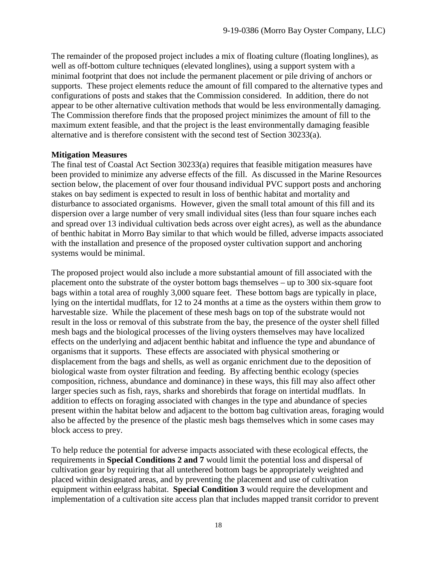The remainder of the proposed project includes a mix of floating culture (floating longlines), as well as off-bottom culture techniques (elevated longlines), using a support system with a minimal footprint that does not include the permanent placement or pile driving of anchors or supports. These project elements reduce the amount of fill compared to the alternative types and configurations of posts and stakes that the Commission considered. In addition, there do not appear to be other alternative cultivation methods that would be less environmentally damaging. The Commission therefore finds that the proposed project minimizes the amount of fill to the maximum extent feasible, and that the project is the least environmentally damaging feasible alternative and is therefore consistent with the second test of Section 30233(a).

#### **Mitigation Measures**

The final test of Coastal Act Section 30233(a) requires that feasible mitigation measures have been provided to minimize any adverse effects of the fill. As discussed in the Marine Resources section below, the placement of over four thousand individual PVC support posts and anchoring stakes on bay sediment is expected to result in loss of benthic habitat and mortality and disturbance to associated organisms. However, given the small total amount of this fill and its dispersion over a large number of very small individual sites (less than four square inches each and spread over 13 individual cultivation beds across over eight acres), as well as the abundance of benthic habitat in Morro Bay similar to that which would be filled, adverse impacts associated with the installation and presence of the proposed oyster cultivation support and anchoring systems would be minimal.

The proposed project would also include a more substantial amount of fill associated with the placement onto the substrate of the oyster bottom bags themselves – up to 300 six-square foot bags within a total area of roughly 3,000 square feet. These bottom bags are typically in place, lying on the intertidal mudflats, for 12 to 24 months at a time as the oysters within them grow to harvestable size. While the placement of these mesh bags on top of the substrate would not result in the loss or removal of this substrate from the bay, the presence of the oyster shell filled mesh bags and the biological processes of the living oysters themselves may have localized effects on the underlying and adjacent benthic habitat and influence the type and abundance of organisms that it supports. These effects are associated with physical smothering or displacement from the bags and shells, as well as organic enrichment due to the deposition of biological waste from oyster filtration and feeding. By affecting benthic ecology (species composition, richness, abundance and dominance) in these ways, this fill may also affect other larger species such as fish, rays, sharks and shorebirds that forage on intertidal mudflats. In addition to effects on foraging associated with changes in the type and abundance of species present within the habitat below and adjacent to the bottom bag cultivation areas, foraging would also be affected by the presence of the plastic mesh bags themselves which in some cases may block access to prey.

To help reduce the potential for adverse impacts associated with these ecological effects, the requirements in **Special Conditions 2 and 7** would limit the potential loss and dispersal of cultivation gear by requiring that all untethered bottom bags be appropriately weighted and placed within designated areas, and by preventing the placement and use of cultivation equipment within eelgrass habitat. **Special Condition 3** would require the development and implementation of a cultivation site access plan that includes mapped transit corridor to prevent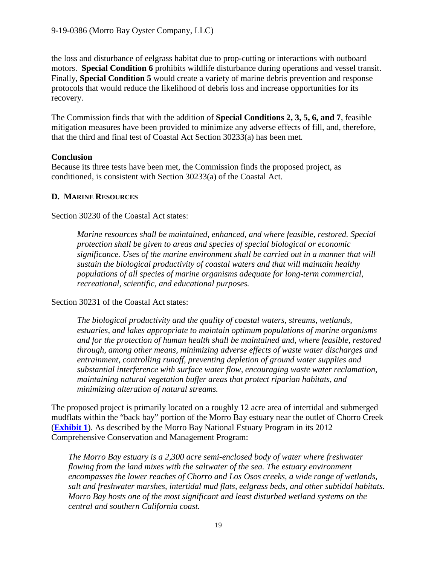the loss and disturbance of eelgrass habitat due to prop-cutting or interactions with outboard motors. **Special Condition 6** prohibits wildlife disturbance during operations and vessel transit. Finally, **Special Condition 5** would create a variety of marine debris prevention and response protocols that would reduce the likelihood of debris loss and increase opportunities for its recovery.

The Commission finds that with the addition of **Special Conditions 2, 3, 5, 6, and 7**, feasible mitigation measures have been provided to minimize any adverse effects of fill, and, therefore, that the third and final test of Coastal Act Section 30233(a) has been met.

## **Conclusion**

Because its three tests have been met, the Commission finds the proposed project, as conditioned, is consistent with Section 30233(a) of the Coastal Act.

#### <span id="page-18-0"></span>**D. MARINE RESOURCES**

Section 30230 of the Coastal Act states:

*Marine resources shall be maintained, enhanced, and where feasible, restored. Special protection shall be given to areas and species of special biological or economic significance. Uses of the marine environment shall be carried out in a manner that will sustain the biological productivity of coastal waters and that will maintain healthy populations of all species of marine organisms adequate for long-term commercial, recreational, scientific, and educational purposes.*

Section 30231 of the Coastal Act states:

*The biological productivity and the quality of coastal waters, streams, wetlands, estuaries, and lakes appropriate to maintain optimum populations of marine organisms and for the protection of human health shall be maintained and, where feasible, restored through, among other means, minimizing adverse effects of waste water discharges and entrainment, controlling runoff, preventing depletion of ground water supplies and substantial interference with surface water flow, encouraging waste water reclamation, maintaining natural vegetation buffer areas that protect riparian habitats, and minimizing alteration of natural streams.*

The proposed project is primarily located on a roughly 12 acre area of intertidal and submerged mudflats within the "back bay" portion of the Morro Bay estuary near the outlet of Chorro Creek (**[Exhibit 1](https://documents.coastal.ca.gov/reports/2019/12/F13a/F13a-12-2019-exhibits.pdf)**). As described by the Morro Bay National Estuary Program in its 2012 Comprehensive Conservation and Management Program:

*The Morro Bay estuary is a 2,300 acre semi-enclosed body of water where freshwater flowing from the land mixes with the saltwater of the sea. The estuary environment encompasses the lower reaches of Chorro and Los Osos creeks, a wide range of wetlands, salt and freshwater marshes, intertidal mud flats, eelgrass beds, and other subtidal habitats. Morro Bay hosts one of the most significant and least disturbed wetland systems on the central and southern California coast.*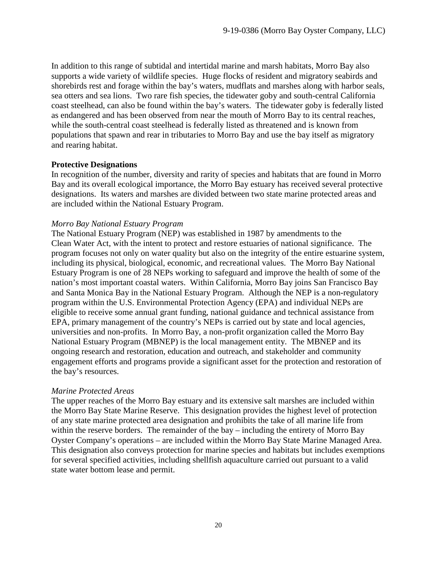In addition to this range of subtidal and intertidal marine and marsh habitats, Morro Bay also supports a wide variety of wildlife species. Huge flocks of resident and migratory seabirds and shorebirds rest and forage within the bay's waters, mudflats and marshes along with harbor seals, sea otters and sea lions. Two rare fish species, the tidewater goby and south-central California coast steelhead, can also be found within the bay's waters. The tidewater goby is federally listed as endangered and has been observed from near the mouth of Morro Bay to its central reaches, while the south-central coast steelhead is federally listed as threatened and is known from populations that spawn and rear in tributaries to Morro Bay and use the bay itself as migratory and rearing habitat.

#### **Protective Designations**

In recognition of the number, diversity and rarity of species and habitats that are found in Morro Bay and its overall ecological importance, the Morro Bay estuary has received several protective designations. Its waters and marshes are divided between two state marine protected areas and are included within the National Estuary Program.

#### *Morro Bay National Estuary Program*

The National Estuary Program (NEP) was established in 1987 by amendments to the Clean Water Act, with the intent to protect and restore estuaries of national significance. The program focuses not only on water quality but also on the integrity of the entire estuarine system, including its physical, biological, economic, and recreational values. The Morro Bay National Estuary Program is one of 28 NEPs working to safeguard and improve the health of some of the nation's most important coastal waters. Within California, Morro Bay joins San Francisco Bay and Santa Monica Bay in the National Estuary Program. Although the NEP is a non-regulatory program within the U.S. Environmental Protection Agency (EPA) and individual NEPs are eligible to receive some annual grant funding, national guidance and technical assistance from EPA, primary management of the country's NEPs is carried out by state and local agencies, universities and non-profits. In Morro Bay, a non-profit organization called the Morro Bay National Estuary Program (MBNEP) is the local management entity. The MBNEP and its ongoing research and restoration, education and outreach, and stakeholder and community engagement efforts and programs provide a significant asset for the protection and restoration of the bay's resources.

#### *Marine Protected Areas*

The upper reaches of the Morro Bay estuary and its extensive salt marshes are included within the Morro Bay State Marine Reserve. This designation provides the highest level of protection of any state marine protected area designation and prohibits the take of all marine life from within the reserve borders. The remainder of the bay – including the entirety of Morro Bay Oyster Company's operations – are included within the Morro Bay State Marine Managed Area. This designation also conveys protection for marine species and habitats but includes exemptions for several specified activities, including shellfish aquaculture carried out pursuant to a valid state water bottom lease and permit.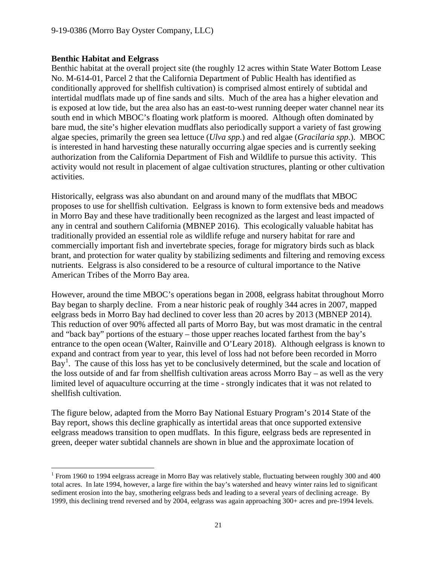## **Benthic Habitat and Eelgrass**

Benthic habitat at the overall project site (the roughly 12 acres within State Water Bottom Lease No. M-614-01, Parcel 2 that the California Department of Public Health has identified as conditionally approved for shellfish cultivation) is comprised almost entirely of subtidal and intertidal mudflats made up of fine sands and silts. Much of the area has a higher elevation and is exposed at low tide, but the area also has an east-to-west running deeper water channel near its south end in which MBOC's floating work platform is moored. Although often dominated by bare mud, the site's higher elevation mudflats also periodically support a variety of fast growing algae species, primarily the green sea lettuce (*Ulva spp*.) and red algae (*Gracilaria spp*.). MBOC is interested in hand harvesting these naturally occurring algae species and is currently seeking authorization from the California Department of Fish and Wildlife to pursue this activity. This activity would not result in placement of algae cultivation structures, planting or other cultivation activities.

Historically, eelgrass was also abundant on and around many of the mudflats that MBOC proposes to use for shellfish cultivation. Eelgrass is known to form extensive beds and meadows in Morro Bay and these have traditionally been recognized as the largest and least impacted of any in central and southern California (MBNEP 2016). This ecologically valuable habitat has traditionally provided an essential role as wildlife refuge and nursery habitat for rare and commercially important fish and invertebrate species, forage for migratory birds such as black brant, and protection for water quality by stabilizing sediments and filtering and removing excess nutrients. Eelgrass is also considered to be a resource of cultural importance to the Native American Tribes of the Morro Bay area.

However, around the time MBOC's operations began in 2008, eelgrass habitat throughout Morro Bay began to sharply decline. From a near historic peak of roughly 344 acres in 2007, mapped eelgrass beds in Morro Bay had declined to cover less than 20 acres by 2013 (MBNEP 2014). This reduction of over 90% affected all parts of Morro Bay, but was most dramatic in the central and "back bay" portions of the estuary – those upper reaches located farthest from the bay's entrance to the open ocean (Walter, Rainville and O'Leary 2018). Although eelgrass is known to expand and contract from year to year, this level of loss had not before been recorded in Morro Bay<sup>[1](#page-20-0)</sup>. The cause of this loss has yet to be conclusively determined, but the scale and location of the loss outside of and far from shellfish cultivation areas across Morro Bay – as well as the very limited level of aquaculture occurring at the time - strongly indicates that it was not related to shellfish cultivation.

The figure below, adapted from the Morro Bay National Estuary Program's 2014 State of the Bay report, shows this decline graphically as intertidal areas that once supported extensive eelgrass meadows transition to open mudflats. In this figure, eelgrass beds are represented in green, deeper water subtidal channels are shown in blue and the approximate location of

<span id="page-20-0"></span><sup>&</sup>lt;sup>1</sup> From 1960 to 1994 eelgrass acreage in Morro Bay was relatively stable, fluctuating between roughly 300 and 400 total acres. In late 1994, however, a large fire within the bay's watershed and heavy winter rains led to significant sediment erosion into the bay, smothering eelgrass beds and leading to a several years of declining acreage. By 1999, this declining trend reversed and by 2004, eelgrass was again approaching 300+ acres and pre-1994 levels.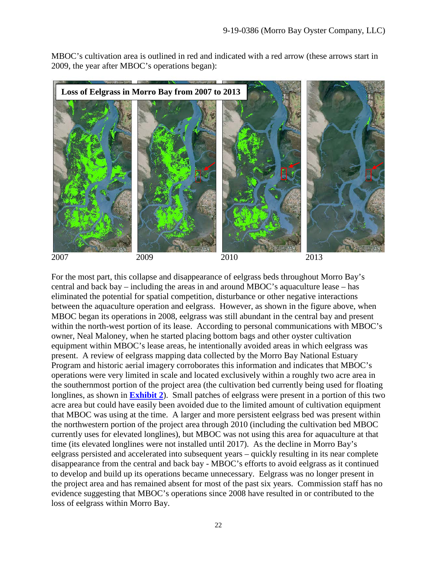MBOC's cultivation area is outlined in red and indicated with a red arrow (these arrows start in 2009, the year after MBOC's operations began):



For the most part, this collapse and disappearance of eelgrass beds throughout Morro Bay's central and back bay – including the areas in and around MBOC's aquaculture lease – has eliminated the potential for spatial competition, disturbance or other negative interactions between the aquaculture operation and eelgrass. However, as shown in the figure above, when MBOC began its operations in 2008, eelgrass was still abundant in the central bay and present within the north-west portion of its lease. According to personal communications with MBOC's owner, Neal Maloney, when he started placing bottom bags and other oyster cultivation equipment within MBOC's lease areas, he intentionally avoided areas in which eelgrass was present. A review of eelgrass mapping data collected by the Morro Bay National Estuary Program and historic aerial imagery corroborates this information and indicates that MBOC's operations were very limited in scale and located exclusively within a roughly two acre area in the southernmost portion of the project area (the cultivation bed currently being used for floating longlines, as shown in **[Exhibit 2](https://documents.coastal.ca.gov/reports/2019/12/F13a/F13a-12-2019-exhibits.pdf)**). Small patches of eelgrass were present in a portion of this two acre area but could have easily been avoided due to the limited amount of cultivation equipment that MBOC was using at the time. A larger and more persistent eelgrass bed was present within the northwestern portion of the project area through 2010 (including the cultivation bed MBOC currently uses for elevated longlines), but MBOC was not using this area for aquaculture at that time (its elevated longlines were not installed until 2017). As the decline in Morro Bay's eelgrass persisted and accelerated into subsequent years – quickly resulting in its near complete disappearance from the central and back bay - MBOC's efforts to avoid eelgrass as it continued to develop and build up its operations became unnecessary. Eelgrass was no longer present in the project area and has remained absent for most of the past six years. Commission staff has no evidence suggesting that MBOC's operations since 2008 have resulted in or contributed to the loss of eelgrass within Morro Bay.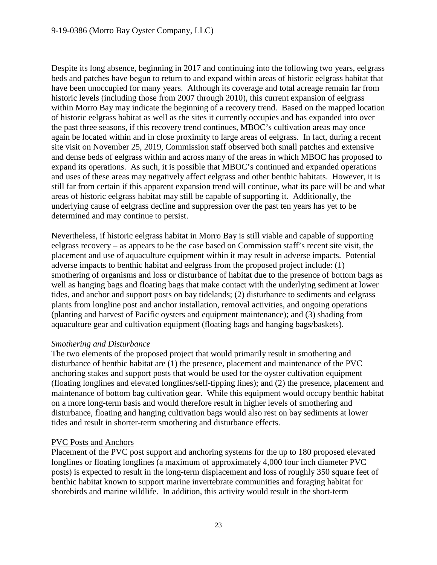Despite its long absence, beginning in 2017 and continuing into the following two years, eelgrass beds and patches have begun to return to and expand within areas of historic eelgrass habitat that have been unoccupied for many years. Although its coverage and total acreage remain far from historic levels (including those from 2007 through 2010), this current expansion of eelgrass within Morro Bay may indicate the beginning of a recovery trend. Based on the mapped location of historic eelgrass habitat as well as the sites it currently occupies and has expanded into over the past three seasons, if this recovery trend continues, MBOC's cultivation areas may once again be located within and in close proximity to large areas of eelgrass. In fact, during a recent site visit on November 25, 2019, Commission staff observed both small patches and extensive and dense beds of eelgrass within and across many of the areas in which MBOC has proposed to expand its operations. As such, it is possible that MBOC's continued and expanded operations and uses of these areas may negatively affect eelgrass and other benthic habitats. However, it is still far from certain if this apparent expansion trend will continue, what its pace will be and what areas of historic eelgrass habitat may still be capable of supporting it. Additionally, the underlying cause of eelgrass decline and suppression over the past ten years has yet to be determined and may continue to persist.

Nevertheless, if historic eelgrass habitat in Morro Bay is still viable and capable of supporting eelgrass recovery – as appears to be the case based on Commission staff's recent site visit, the placement and use of aquaculture equipment within it may result in adverse impacts. Potential adverse impacts to benthic habitat and eelgrass from the proposed project include: (1) smothering of organisms and loss or disturbance of habitat due to the presence of bottom bags as well as hanging bags and floating bags that make contact with the underlying sediment at lower tides, and anchor and support posts on bay tidelands; (2) disturbance to sediments and eelgrass plants from longline post and anchor installation, removal activities, and ongoing operations (planting and harvest of Pacific oysters and equipment maintenance); and (3) shading from aquaculture gear and cultivation equipment (floating bags and hanging bags/baskets).

#### *Smothering and Disturbance*

The two elements of the proposed project that would primarily result in smothering and disturbance of benthic habitat are (1) the presence, placement and maintenance of the PVC anchoring stakes and support posts that would be used for the oyster cultivation equipment (floating longlines and elevated longlines/self-tipping lines); and (2) the presence, placement and maintenance of bottom bag cultivation gear. While this equipment would occupy benthic habitat on a more long-term basis and would therefore result in higher levels of smothering and disturbance, floating and hanging cultivation bags would also rest on bay sediments at lower tides and result in shorter-term smothering and disturbance effects.

## PVC Posts and Anchors

Placement of the PVC post support and anchoring systems for the up to 180 proposed elevated longlines or floating longlines (a maximum of approximately 4,000 four inch diameter PVC posts) is expected to result in the long-term displacement and loss of roughly 350 square feet of benthic habitat known to support marine invertebrate communities and foraging habitat for shorebirds and marine wildlife. In addition, this activity would result in the short-term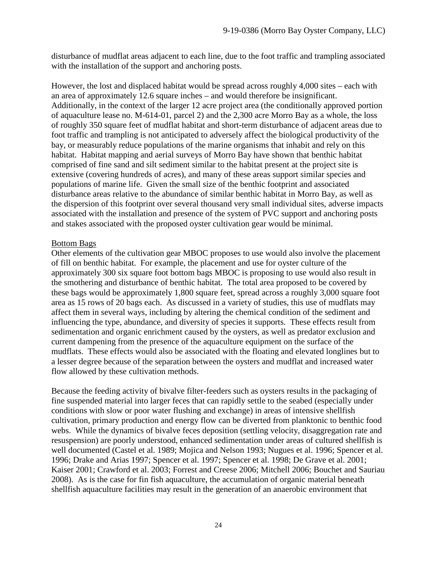disturbance of mudflat areas adjacent to each line, due to the foot traffic and trampling associated with the installation of the support and anchoring posts.

However, the lost and displaced habitat would be spread across roughly 4,000 sites – each with an area of approximately 12.6 square inches – and would therefore be insignificant. Additionally, in the context of the larger 12 acre project area (the conditionally approved portion of aquaculture lease no. M-614-01, parcel 2) and the 2,300 acre Morro Bay as a whole, the loss of roughly 350 square feet of mudflat habitat and short-term disturbance of adjacent areas due to foot traffic and trampling is not anticipated to adversely affect the biological productivity of the bay, or measurably reduce populations of the marine organisms that inhabit and rely on this habitat. Habitat mapping and aerial surveys of Morro Bay have shown that benthic habitat comprised of fine sand and silt sediment similar to the habitat present at the project site is extensive (covering hundreds of acres), and many of these areas support similar species and populations of marine life. Given the small size of the benthic footprint and associated disturbance areas relative to the abundance of similar benthic habitat in Morro Bay, as well as the dispersion of this footprint over several thousand very small individual sites, adverse impacts associated with the installation and presence of the system of PVC support and anchoring posts and stakes associated with the proposed oyster cultivation gear would be minimal.

#### Bottom Bags

Other elements of the cultivation gear MBOC proposes to use would also involve the placement of fill on benthic habitat. For example, the placement and use for oyster culture of the approximately 300 six square foot bottom bags MBOC is proposing to use would also result in the smothering and disturbance of benthic habitat. The total area proposed to be covered by these bags would be approximately 1,800 square feet, spread across a roughly 3,000 square foot area as 15 rows of 20 bags each. As discussed in a variety of studies, this use of mudflats may affect them in several ways, including by altering the chemical condition of the sediment and influencing the type, abundance, and diversity of species it supports. These effects result from sedimentation and organic enrichment caused by the oysters, as well as predator exclusion and current dampening from the presence of the aquaculture equipment on the surface of the mudflats. These effects would also be associated with the floating and elevated longlines but to a lesser degree because of the separation between the oysters and mudflat and increased water flow allowed by these cultivation methods.

Because the feeding activity of bivalve filter-feeders such as oysters results in the packaging of fine suspended material into larger feces that can rapidly settle to the seabed (especially under conditions with slow or poor water flushing and exchange) in areas of intensive shellfish cultivation, primary production and energy flow can be diverted from planktonic to benthic food webs. While the dynamics of bivalve feces deposition (settling velocity, disaggregation rate and resuspension) are poorly understood, enhanced sedimentation under areas of cultured shellfish is well documented (Castel et al. 1989; Mojica and Nelson 1993; Nugues et al. 1996; Spencer et al. 1996; Drake and Arias 1997; Spencer et al. 1997; Spencer et al. 1998; De Grave et al. 2001; Kaiser 2001; Crawford et al. 2003; Forrest and Creese 2006; Mitchell 2006; Bouchet and Sauriau 2008). As is the case for fin fish aquaculture, the accumulation of organic material beneath shellfish aquaculture facilities may result in the generation of an anaerobic environment that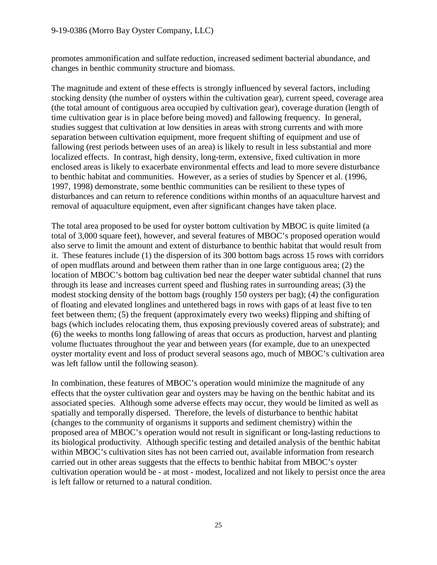#### 9-19-0386 (Morro Bay Oyster Company, LLC)

promotes ammonification and sulfate reduction, increased sediment bacterial abundance, and changes in benthic community structure and biomass.

The magnitude and extent of these effects is strongly influenced by several factors, including stocking density (the number of oysters within the cultivation gear), current speed, coverage area (the total amount of contiguous area occupied by cultivation gear), coverage duration (length of time cultivation gear is in place before being moved) and fallowing frequency. In general, studies suggest that cultivation at low densities in areas with strong currents and with more separation between cultivation equipment, more frequent shifting of equipment and use of fallowing (rest periods between uses of an area) is likely to result in less substantial and more localized effects. In contrast, high density, long-term, extensive, fixed cultivation in more enclosed areas is likely to exacerbate environmental effects and lead to more severe disturbance to benthic habitat and communities. However, as a series of studies by Spencer et al. (1996, 1997, 1998) demonstrate, some benthic communities can be resilient to these types of disturbances and can return to reference conditions within months of an aquaculture harvest and removal of aquaculture equipment, even after significant changes have taken place.

The total area proposed to be used for oyster bottom cultivation by MBOC is quite limited (a total of 3,000 square feet), however, and several features of MBOC's proposed operation would also serve to limit the amount and extent of disturbance to benthic habitat that would result from it. These features include (1) the dispersion of its 300 bottom bags across 15 rows with corridors of open mudflats around and between them rather than in one large contiguous area; (2) the location of MBOC's bottom bag cultivation bed near the deeper water subtidal channel that runs through its lease and increases current speed and flushing rates in surrounding areas; (3) the modest stocking density of the bottom bags (roughly 150 oysters per bag); (4) the configuration of floating and elevated longlines and untethered bags in rows with gaps of at least five to ten feet between them; (5) the frequent (approximately every two weeks) flipping and shifting of bags (which includes relocating them, thus exposing previously covered areas of substrate); and (6) the weeks to months long fallowing of areas that occurs as production, harvest and planting volume fluctuates throughout the year and between years (for example, due to an unexpected oyster mortality event and loss of product several seasons ago, much of MBOC's cultivation area was left fallow until the following season).

In combination, these features of MBOC's operation would minimize the magnitude of any effects that the oyster cultivation gear and oysters may be having on the benthic habitat and its associated species. Although some adverse effects may occur, they would be limited as well as spatially and temporally dispersed. Therefore, the levels of disturbance to benthic habitat (changes to the community of organisms it supports and sediment chemistry) within the proposed area of MBOC's operation would not result in significant or long-lasting reductions to its biological productivity. Although specific testing and detailed analysis of the benthic habitat within MBOC's cultivation sites has not been carried out, available information from research carried out in other areas suggests that the effects to benthic habitat from MBOC's oyster cultivation operation would be - at most - modest, localized and not likely to persist once the area is left fallow or returned to a natural condition.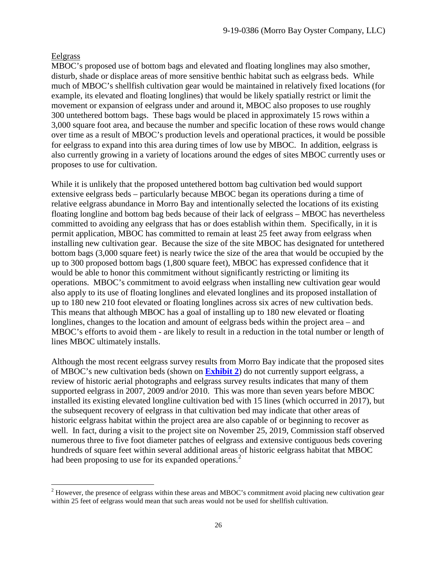#### Eelgrass

MBOC's proposed use of bottom bags and elevated and floating longlines may also smother, disturb, shade or displace areas of more sensitive benthic habitat such as eelgrass beds. While much of MBOC's shellfish cultivation gear would be maintained in relatively fixed locations (for example, its elevated and floating longlines) that would be likely spatially restrict or limit the movement or expansion of eelgrass under and around it, MBOC also proposes to use roughly 300 untethered bottom bags. These bags would be placed in approximately 15 rows within a 3,000 square foot area, and because the number and specific location of these rows would change over time as a result of MBOC's production levels and operational practices, it would be possible for eelgrass to expand into this area during times of low use by MBOC. In addition, eelgrass is also currently growing in a variety of locations around the edges of sites MBOC currently uses or proposes to use for cultivation.

While it is unlikely that the proposed untethered bottom bag cultivation bed would support extensive eelgrass beds – particularly because MBOC began its operations during a time of relative eelgrass abundance in Morro Bay and intentionally selected the locations of its existing floating longline and bottom bag beds because of their lack of eelgrass – MBOC has nevertheless committed to avoiding any eelgrass that has or does establish within them. Specifically, in it is permit application, MBOC has committed to remain at least 25 feet away from eelgrass when installing new cultivation gear. Because the size of the site MBOC has designated for untethered bottom bags (3,000 square feet) is nearly twice the size of the area that would be occupied by the up to 300 proposed bottom bags (1,800 square feet), MBOC has expressed confidence that it would be able to honor this commitment without significantly restricting or limiting its operations. MBOC's commitment to avoid eelgrass when installing new cultivation gear would also apply to its use of floating longlines and elevated longlines and its proposed installation of up to 180 new 210 foot elevated or floating longlines across six acres of new cultivation beds. This means that although MBOC has a goal of installing up to 180 new elevated or floating longlines, changes to the location and amount of eelgrass beds within the project area – and MBOC's efforts to avoid them - are likely to result in a reduction in the total number or length of lines MBOC ultimately installs.

Although the most recent eelgrass survey results from Morro Bay indicate that the proposed sites of MBOC's new cultivation beds (shown on **[Exhibit 2](https://documents.coastal.ca.gov/reports/2019/12/F13a/F13a-12-2019-exhibits.pdf)**) do not currently support eelgrass, a review of historic aerial photographs and eelgrass survey results indicates that many of them supported eelgrass in 2007, 2009 and/or 2010. This was more than seven years before MBOC installed its existing elevated longline cultivation bed with 15 lines (which occurred in 2017), but the subsequent recovery of eelgrass in that cultivation bed may indicate that other areas of historic eelgrass habitat within the project area are also capable of or beginning to recover as well. In fact, during a visit to the project site on November 25, 2019, Commission staff observed numerous three to five foot diameter patches of eelgrass and extensive contiguous beds covering hundreds of square feet within several additional areas of historic eelgrass habitat that MBOC had been proposing to use for its expanded operations.<sup>[2](#page-25-0)</sup>

<span id="page-25-0"></span><sup>&</sup>lt;sup>2</sup> However, the presence of eelgrass within these areas and MBOC's commitment avoid placing new cultivation gear within 25 feet of eelgrass would mean that such areas would not be used for shellfish cultivation.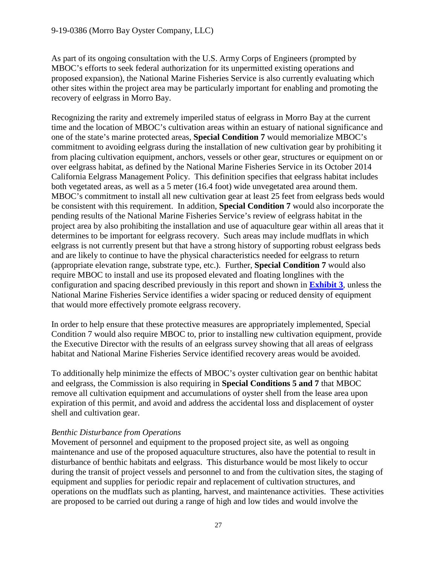As part of its ongoing consultation with the U.S. Army Corps of Engineers (prompted by MBOC's efforts to seek federal authorization for its unpermitted existing operations and proposed expansion), the National Marine Fisheries Service is also currently evaluating which other sites within the project area may be particularly important for enabling and promoting the recovery of eelgrass in Morro Bay.

Recognizing the rarity and extremely imperiled status of eelgrass in Morro Bay at the current time and the location of MBOC's cultivation areas within an estuary of national significance and one of the state's marine protected areas, **Special Condition 7** would memorialize MBOC's commitment to avoiding eelgrass during the installation of new cultivation gear by prohibiting it from placing cultivation equipment, anchors, vessels or other gear, structures or equipment on or over eelgrass habitat, as defined by the National Marine Fisheries Service in its October 2014 California Eelgrass Management Policy. This definition specifies that eelgrass habitat includes both vegetated areas, as well as a 5 meter (16.4 foot) wide unvegetated area around them. MBOC's commitment to install all new cultivation gear at least 25 feet from eelgrass beds would be consistent with this requirement. In addition, **Special Condition 7** would also incorporate the pending results of the National Marine Fisheries Service's review of eelgrass habitat in the project area by also prohibiting the installation and use of aquaculture gear within all areas that it determines to be important for eelgrass recovery. Such areas may include mudflats in which eelgrass is not currently present but that have a strong history of supporting robust eelgrass beds and are likely to continue to have the physical characteristics needed for eelgrass to return (appropriate elevation range, substrate type, etc.). Further, **Special Condition 7** would also require MBOC to install and use its proposed elevated and floating longlines with the configuration and spacing described previously in this report and shown in **[Exhibit 3](https://documents.coastal.ca.gov/reports/2019/12/F13a/F13a-12-2019-exhibits.pdf)**, unless the National Marine Fisheries Service identifies a wider spacing or reduced density of equipment that would more effectively promote eelgrass recovery.

In order to help ensure that these protective measures are appropriately implemented, Special Condition 7 would also require MBOC to, prior to installing new cultivation equipment, provide the Executive Director with the results of an eelgrass survey showing that all areas of eelgrass habitat and National Marine Fisheries Service identified recovery areas would be avoided.

To additionally help minimize the effects of MBOC's oyster cultivation gear on benthic habitat and eelgrass, the Commission is also requiring in **Special Conditions 5 and 7** that MBOC remove all cultivation equipment and accumulations of oyster shell from the lease area upon expiration of this permit, and avoid and address the accidental loss and displacement of oyster shell and cultivation gear.

#### *Benthic Disturbance from Operations*

Movement of personnel and equipment to the proposed project site, as well as ongoing maintenance and use of the proposed aquaculture structures, also have the potential to result in disturbance of benthic habitats and eelgrass. This disturbance would be most likely to occur during the transit of project vessels and personnel to and from the cultivation sites, the staging of equipment and supplies for periodic repair and replacement of cultivation structures, and operations on the mudflats such as planting, harvest, and maintenance activities. These activities are proposed to be carried out during a range of high and low tides and would involve the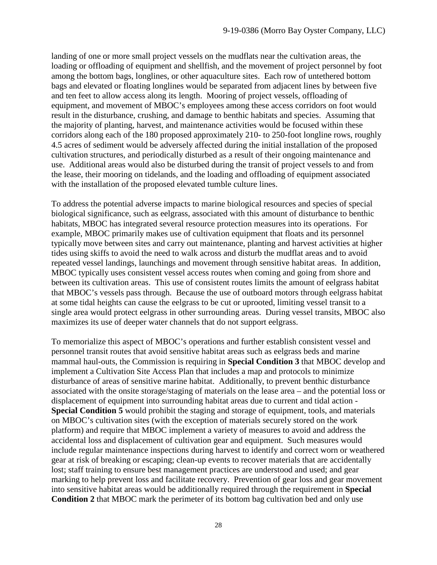landing of one or more small project vessels on the mudflats near the cultivation areas, the loading or offloading of equipment and shellfish, and the movement of project personnel by foot among the bottom bags, longlines, or other aquaculture sites. Each row of untethered bottom bags and elevated or floating longlines would be separated from adjacent lines by between five and ten feet to allow access along its length. Mooring of project vessels, offloading of equipment, and movement of MBOC's employees among these access corridors on foot would result in the disturbance, crushing, and damage to benthic habitats and species. Assuming that the majority of planting, harvest, and maintenance activities would be focused within these corridors along each of the 180 proposed approximately 210- to 250-foot longline rows, roughly 4.5 acres of sediment would be adversely affected during the initial installation of the proposed cultivation structures, and periodically disturbed as a result of their ongoing maintenance and use. Additional areas would also be disturbed during the transit of project vessels to and from the lease, their mooring on tidelands, and the loading and offloading of equipment associated with the installation of the proposed elevated tumble culture lines.

To address the potential adverse impacts to marine biological resources and species of special biological significance, such as eelgrass, associated with this amount of disturbance to benthic habitats, MBOC has integrated several resource protection measures into its operations. For example, MBOC primarily makes use of cultivation equipment that floats and its personnel typically move between sites and carry out maintenance, planting and harvest activities at higher tides using skiffs to avoid the need to walk across and disturb the mudflat areas and to avoid repeated vessel landings, launchings and movement through sensitive habitat areas. In addition, MBOC typically uses consistent vessel access routes when coming and going from shore and between its cultivation areas. This use of consistent routes limits the amount of eelgrass habitat that MBOC's vessels pass through. Because the use of outboard motors through eelgrass habitat at some tidal heights can cause the eelgrass to be cut or uprooted, limiting vessel transit to a single area would protect eelgrass in other surrounding areas. During vessel transits, MBOC also maximizes its use of deeper water channels that do not support eelgrass.

To memorialize this aspect of MBOC's operations and further establish consistent vessel and personnel transit routes that avoid sensitive habitat areas such as eelgrass beds and marine mammal haul-outs, the Commission is requiring in **Special Condition 3** that MBOC develop and implement a Cultivation Site Access Plan that includes a map and protocols to minimize disturbance of areas of sensitive marine habitat. Additionally, to prevent benthic disturbance associated with the onsite storage/staging of materials on the lease area – and the potential loss or displacement of equipment into surrounding habitat areas due to current and tidal action - **Special Condition 5** would prohibit the staging and storage of equipment, tools, and materials on MBOC's cultivation sites (with the exception of materials securely stored on the work platform) and require that MBOC implement a variety of measures to avoid and address the accidental loss and displacement of cultivation gear and equipment. Such measures would include regular maintenance inspections during harvest to identify and correct worn or weathered gear at risk of breaking or escaping; clean-up events to recover materials that are accidentally lost; staff training to ensure best management practices are understood and used; and gear marking to help prevent loss and facilitate recovery. Prevention of gear loss and gear movement into sensitive habitat areas would be additionally required through the requirement in **Special Condition 2** that MBOC mark the perimeter of its bottom bag cultivation bed and only use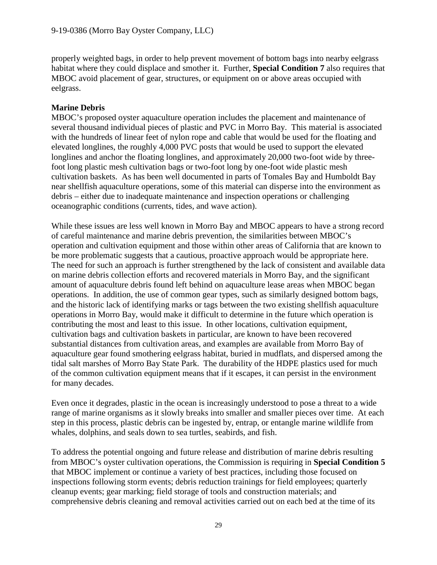properly weighted bags, in order to help prevent movement of bottom bags into nearby eelgrass habitat where they could displace and smother it. Further, **Special Condition 7** also requires that MBOC avoid placement of gear, structures, or equipment on or above areas occupied with eelgrass.

## **Marine Debris**

MBOC's proposed oyster aquaculture operation includes the placement and maintenance of several thousand individual pieces of plastic and PVC in Morro Bay. This material is associated with the hundreds of linear feet of nylon rope and cable that would be used for the floating and elevated longlines, the roughly 4,000 PVC posts that would be used to support the elevated longlines and anchor the floating longlines, and approximately 20,000 two-foot wide by threefoot long plastic mesh cultivation bags or two-foot long by one-foot wide plastic mesh cultivation baskets. As has been well documented in parts of Tomales Bay and Humboldt Bay near shellfish aquaculture operations, some of this material can disperse into the environment as debris – either due to inadequate maintenance and inspection operations or challenging oceanographic conditions (currents, tides, and wave action).

While these issues are less well known in Morro Bay and MBOC appears to have a strong record of careful maintenance and marine debris prevention, the similarities between MBOC's operation and cultivation equipment and those within other areas of California that are known to be more problematic suggests that a cautious, proactive approach would be appropriate here. The need for such an approach is further strengthened by the lack of consistent and available data on marine debris collection efforts and recovered materials in Morro Bay, and the significant amount of aquaculture debris found left behind on aquaculture lease areas when MBOC began operations. In addition, the use of common gear types, such as similarly designed bottom bags, and the historic lack of identifying marks or tags between the two existing shellfish aquaculture operations in Morro Bay, would make it difficult to determine in the future which operation is contributing the most and least to this issue. In other locations, cultivation equipment, cultivation bags and cultivation baskets in particular, are known to have been recovered substantial distances from cultivation areas, and examples are available from Morro Bay of aquaculture gear found smothering eelgrass habitat, buried in mudflats, and dispersed among the tidal salt marshes of Morro Bay State Park. The durability of the HDPE plastics used for much of the common cultivation equipment means that if it escapes, it can persist in the environment for many decades.

Even once it degrades, plastic in the ocean is increasingly understood to pose a threat to a wide range of marine organisms as it slowly breaks into smaller and smaller pieces over time. At each step in this process, plastic debris can be ingested by, entrap, or entangle marine wildlife from whales, dolphins, and seals down to sea turtles, seabirds, and fish.

To address the potential ongoing and future release and distribution of marine debris resulting from MBOC's oyster cultivation operations, the Commission is requiring in **Special Condition 5** that MBOC implement or continue a variety of best practices, including those focused on inspections following storm events; debris reduction trainings for field employees; quarterly cleanup events; gear marking; field storage of tools and construction materials; and comprehensive debris cleaning and removal activities carried out on each bed at the time of its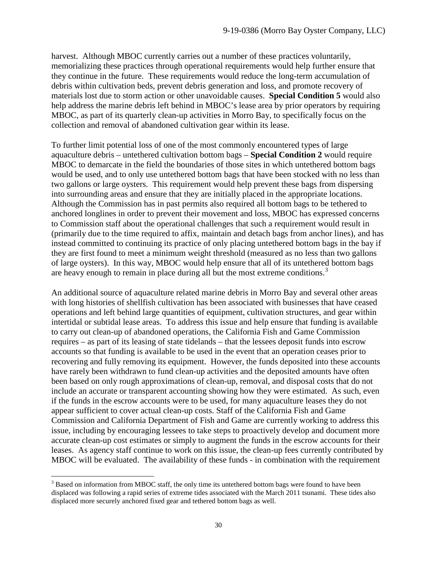harvest. Although MBOC currently carries out a number of these practices voluntarily, memorializing these practices through operational requirements would help further ensure that they continue in the future. These requirements would reduce the long-term accumulation of debris within cultivation beds, prevent debris generation and loss, and promote recovery of materials lost due to storm action or other unavoidable causes. **Special Condition 5** would also help address the marine debris left behind in MBOC's lease area by prior operators by requiring MBOC, as part of its quarterly clean-up activities in Morro Bay, to specifically focus on the collection and removal of abandoned cultivation gear within its lease.

To further limit potential loss of one of the most commonly encountered types of large aquaculture debris – untethered cultivation bottom bags – **Special Condition 2** would require MBOC to demarcate in the field the boundaries of those sites in which untethered bottom bags would be used, and to only use untethered bottom bags that have been stocked with no less than two gallons or large oysters. This requirement would help prevent these bags from dispersing into surrounding areas and ensure that they are initially placed in the appropriate locations. Although the Commission has in past permits also required all bottom bags to be tethered to anchored longlines in order to prevent their movement and loss, MBOC has expressed concerns to Commission staff about the operational challenges that such a requirement would result in (primarily due to the time required to affix, maintain and detach bags from anchor lines), and has instead committed to continuing its practice of only placing untethered bottom bags in the bay if they are first found to meet a minimum weight threshold (measured as no less than two gallons of large oysters). In this way, MBOC would help ensure that all of its untethered bottom bags are heavy enough to remain in place during all but the most extreme conditions. $3$ 

An additional source of aquaculture related marine debris in Morro Bay and several other areas with long histories of shellfish cultivation has been associated with businesses that have ceased operations and left behind large quantities of equipment, cultivation structures, and gear within intertidal or subtidal lease areas. To address this issue and help ensure that funding is available to carry out clean-up of abandoned operations, the California Fish and Game Commission requires – as part of its leasing of state tidelands – that the lessees deposit funds into escrow accounts so that funding is available to be used in the event that an operation ceases prior to recovering and fully removing its equipment. However, the funds deposited into these accounts have rarely been withdrawn to fund clean-up activities and the deposited amounts have often been based on only rough approximations of clean-up, removal, and disposal costs that do not include an accurate or transparent accounting showing how they were estimated. As such, even if the funds in the escrow accounts were to be used, for many aquaculture leases they do not appear sufficient to cover actual clean-up costs. Staff of the California Fish and Game Commission and California Department of Fish and Game are currently working to address this issue, including by encouraging lessees to take steps to proactively develop and document more accurate clean-up cost estimates or simply to augment the funds in the escrow accounts for their leases. As agency staff continue to work on this issue, the clean-up fees currently contributed by MBOC will be evaluated. The availability of these funds - in combination with the requirement

<span id="page-29-0"></span><sup>&</sup>lt;sup>3</sup> Based on information from MBOC staff, the only time its untethered bottom bags were found to have been displaced was following a rapid series of extreme tides associated with the March 2011 tsunami. These tides also displaced more securely anchored fixed gear and tethered bottom bags as well.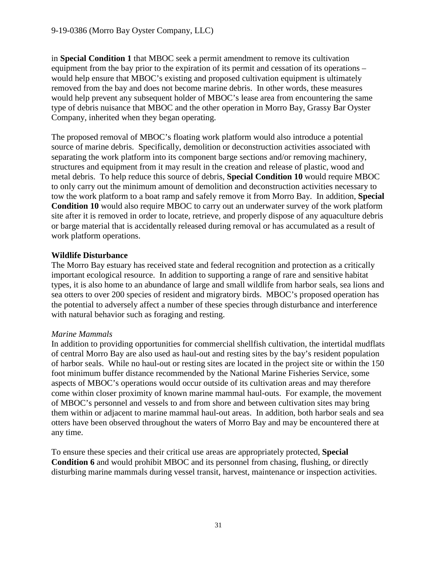in **Special Condition 1** that MBOC seek a permit amendment to remove its cultivation equipment from the bay prior to the expiration of its permit and cessation of its operations – would help ensure that MBOC's existing and proposed cultivation equipment is ultimately removed from the bay and does not become marine debris. In other words, these measures would help prevent any subsequent holder of MBOC's lease area from encountering the same type of debris nuisance that MBOC and the other operation in Morro Bay, Grassy Bar Oyster Company, inherited when they began operating.

The proposed removal of MBOC's floating work platform would also introduce a potential source of marine debris. Specifically, demolition or deconstruction activities associated with separating the work platform into its component barge sections and/or removing machinery, structures and equipment from it may result in the creation and release of plastic, wood and metal debris. To help reduce this source of debris, **Special Condition 10** would require MBOC to only carry out the minimum amount of demolition and deconstruction activities necessary to tow the work platform to a boat ramp and safely remove it from Morro Bay. In addition, **Special Condition 10** would also require MBOC to carry out an underwater survey of the work platform site after it is removed in order to locate, retrieve, and properly dispose of any aquaculture debris or barge material that is accidentally released during removal or has accumulated as a result of work platform operations.

#### **Wildlife Disturbance**

The Morro Bay estuary has received state and federal recognition and protection as a critically important ecological resource. In addition to supporting a range of rare and sensitive habitat types, it is also home to an abundance of large and small wildlife from harbor seals, sea lions and sea otters to over 200 species of resident and migratory birds. MBOC's proposed operation has the potential to adversely affect a number of these species through disturbance and interference with natural behavior such as foraging and resting.

#### *Marine Mammals*

In addition to providing opportunities for commercial shellfish cultivation, the intertidal mudflats of central Morro Bay are also used as haul-out and resting sites by the bay's resident population of harbor seals. While no haul-out or resting sites are located in the project site or within the 150 foot minimum buffer distance recommended by the National Marine Fisheries Service, some aspects of MBOC's operations would occur outside of its cultivation areas and may therefore come within closer proximity of known marine mammal haul-outs. For example, the movement of MBOC's personnel and vessels to and from shore and between cultivation sites may bring them within or adjacent to marine mammal haul-out areas. In addition, both harbor seals and sea otters have been observed throughout the waters of Morro Bay and may be encountered there at any time.

To ensure these species and their critical use areas are appropriately protected, **Special Condition 6** and would prohibit MBOC and its personnel from chasing, flushing, or directly disturbing marine mammals during vessel transit, harvest, maintenance or inspection activities.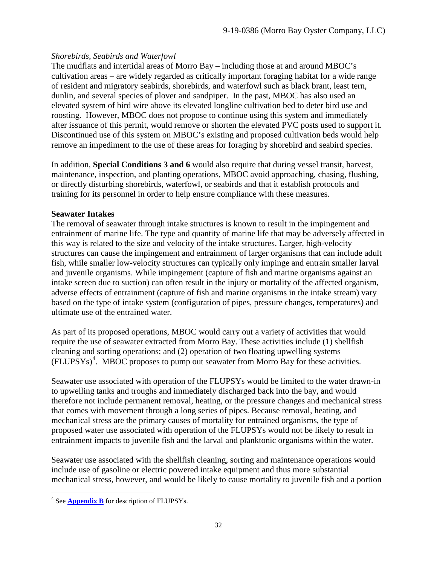## *Shorebirds, Seabirds and Waterfowl*

The mudflats and intertidal areas of Morro Bay – including those at and around MBOC's cultivation areas – are widely regarded as critically important foraging habitat for a wide range of resident and migratory seabirds, shorebirds, and waterfowl such as black brant, least tern, dunlin, and several species of plover and sandpiper. In the past, MBOC has also used an elevated system of bird wire above its elevated longline cultivation bed to deter bird use and roosting. However, MBOC does not propose to continue using this system and immediately after issuance of this permit, would remove or shorten the elevated PVC posts used to support it. Discontinued use of this system on MBOC's existing and proposed cultivation beds would help remove an impediment to the use of these areas for foraging by shorebird and seabird species.

In addition, **Special Conditions 3 and 6** would also require that during vessel transit, harvest, maintenance, inspection, and planting operations, MBOC avoid approaching, chasing, flushing, or directly disturbing shorebirds, waterfowl, or seabirds and that it establish protocols and training for its personnel in order to help ensure compliance with these measures.

## **Seawater Intakes**

The removal of seawater through intake structures is known to result in the impingement and entrainment of marine life. The type and quantity of marine life that may be adversely affected in this way is related to the size and velocity of the intake structures. Larger, high-velocity structures can cause the impingement and entrainment of larger organisms that can include adult fish, while smaller low-velocity structures can typically only impinge and entrain smaller larval and juvenile organisms. While impingement (capture of fish and marine organisms against an intake screen due to suction) can often result in the injury or mortality of the affected organism, adverse effects of entrainment (capture of fish and marine organisms in the intake stream) vary based on the type of intake system (configuration of pipes, pressure changes, temperatures) and ultimate use of the entrained water.

As part of its proposed operations, MBOC would carry out a variety of activities that would require the use of seawater extracted from Morro Bay. These activities include (1) shellfish cleaning and sorting operations; and (2) operation of two floating upwelling systems (FLUPSYs) [4](#page-31-0) . MBOC proposes to pump out seawater from Morro Bay for these activities.

Seawater use associated with operation of the FLUPSYs would be limited to the water drawn-in to upwelling tanks and troughs and immediately discharged back into the bay, and would therefore not include permanent removal, heating, or the pressure changes and mechanical stress that comes with movement through a long series of pipes. Because removal, heating, and mechanical stress are the primary causes of mortality for entrained organisms, the type of proposed water use associated with operation of the FLUPSYs would not be likely to result in entrainment impacts to juvenile fish and the larval and planktonic organisms within the water.

Seawater use associated with the shellfish cleaning, sorting and maintenance operations would include use of gasoline or electric powered intake equipment and thus more substantial mechanical stress, however, and would be likely to cause mortality to juvenile fish and a portion

<span id="page-31-0"></span> <sup>4</sup> See **[Appendix B](#page-38-0)** for description of FLUPSYs.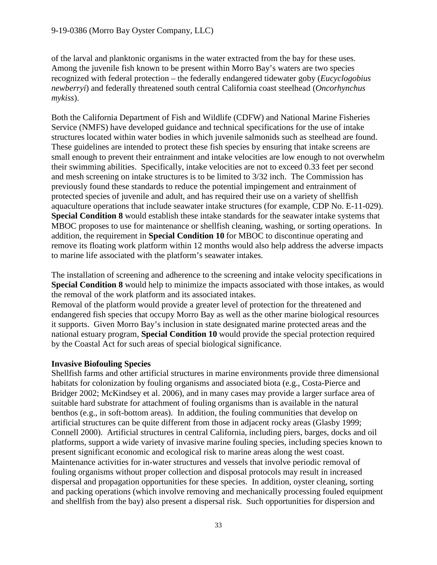of the larval and planktonic organisms in the water extracted from the bay for these uses. Among the juvenile fish known to be present within Morro Bay's waters are two species recognized with federal protection – the federally endangered tidewater goby (*Eucyclogobius newberryi*) and federally threatened south central California coast steelhead (*Oncorhynchus mykiss*).

Both the California Department of Fish and Wildlife (CDFW) and National Marine Fisheries Service (NMFS) have developed guidance and technical specifications for the use of intake structures located within water bodies in which juvenile salmonids such as steelhead are found. These guidelines are intended to protect these fish species by ensuring that intake screens are small enough to prevent their entrainment and intake velocities are low enough to not overwhelm their swimming abilities. Specifically, intake velocities are not to exceed 0.33 feet per second and mesh screening on intake structures is to be limited to 3/32 inch. The Commission has previously found these standards to reduce the potential impingement and entrainment of protected species of juvenile and adult, and has required their use on a variety of shellfish aquaculture operations that include seawater intake structures (for example, CDP No. E-11-029). **Special Condition 8** would establish these intake standards for the seawater intake systems that MBOC proposes to use for maintenance or shellfish cleaning, washing, or sorting operations. In addition, the requirement in **Special Condition 10** for MBOC to discontinue operating and remove its floating work platform within 12 months would also help address the adverse impacts to marine life associated with the platform's seawater intakes.

The installation of screening and adherence to the screening and intake velocity specifications in **Special Condition 8** would help to minimize the impacts associated with those intakes, as would the removal of the work platform and its associated intakes.

Removal of the platform would provide a greater level of protection for the threatened and endangered fish species that occupy Morro Bay as well as the other marine biological resources it supports. Given Morro Bay's inclusion in state designated marine protected areas and the national estuary program, **Special Condition 10** would provide the special protection required by the Coastal Act for such areas of special biological significance.

## **Invasive Biofouling Species**

Shellfish farms and other artificial structures in marine environments provide three dimensional habitats for colonization by fouling organisms and associated biota (e.g., Costa-Pierce and Bridger 2002; McKindsey et al. 2006), and in many cases may provide a larger surface area of suitable hard substrate for attachment of fouling organisms than is available in the natural benthos (e.g., in soft-bottom areas). In addition, the fouling communities that develop on artificial structures can be quite different from those in adjacent rocky areas (Glasby 1999; Connell 2000). Artificial structures in central California, including piers, barges, docks and oil platforms, support a wide variety of invasive marine fouling species, including species known to present significant economic and ecological risk to marine areas along the west coast. Maintenance activities for in-water structures and vessels that involve periodic removal of fouling organisms without proper collection and disposal protocols may result in increased dispersal and propagation opportunities for these species. In addition, oyster cleaning, sorting and packing operations (which involve removing and mechanically processing fouled equipment and shellfish from the bay) also present a dispersal risk. Such opportunities for dispersion and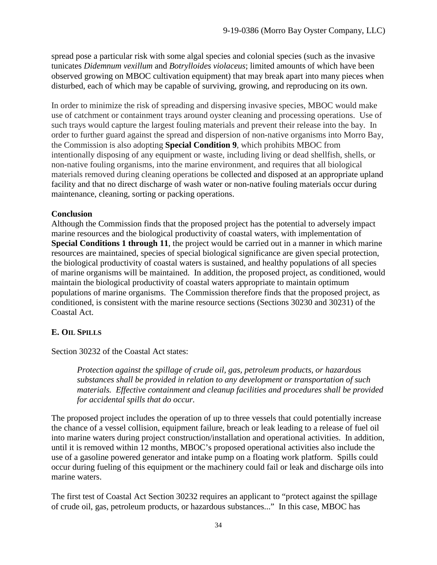spread pose a particular risk with some algal species and colonial species (such as the invasive tunicates *Didemnum vexillum* and *Botrylloides violaceus*; limited amounts of which have been observed growing on MBOC cultivation equipment) that may break apart into many pieces when disturbed, each of which may be capable of surviving, growing, and reproducing on its own.

In order to minimize the risk of spreading and dispersing invasive species, MBOC would make use of catchment or containment trays around oyster cleaning and processing operations. Use of such trays would capture the largest fouling materials and prevent their release into the bay. In order to further guard against the spread and dispersion of non-native organisms into Morro Bay, the Commission is also adopting **Special Condition 9**, which prohibits MBOC from intentionally disposing of any equipment or waste, including living or dead shellfish, shells, or non-native fouling organisms, into the marine environment, and requires that all biological materials removed during cleaning operations be collected and disposed at an appropriate upland facility and that no direct discharge of wash water or non-native fouling materials occur during maintenance, cleaning, sorting or packing operations.

## **Conclusion**

Although the Commission finds that the proposed project has the potential to adversely impact marine resources and the biological productivity of coastal waters, with implementation of **Special Conditions 1 through 11**, the project would be carried out in a manner in which marine resources are maintained, species of special biological significance are given special protection, the biological productivity of coastal waters is sustained, and healthy populations of all species of marine organisms will be maintained. In addition, the proposed project, as conditioned, would maintain the biological productivity of coastal waters appropriate to maintain optimum populations of marine organisms. The Commission therefore finds that the proposed project, as conditioned, is consistent with the marine resource sections (Sections 30230 and 30231) of the Coastal Act.

## <span id="page-33-0"></span>**E. OIL SPILLS**

Section 30232 of the Coastal Act states:

*Protection against the spillage of crude oil, gas, petroleum products, or hazardous substances shall be provided in relation to any development or transportation of such materials. Effective containment and cleanup facilities and procedures shall be provided for accidental spills that do occur.* 

The proposed project includes the operation of up to three vessels that could potentially increase the chance of a vessel collision, equipment failure, breach or leak leading to a release of fuel oil into marine waters during project construction/installation and operational activities. In addition, until it is removed within 12 months, MBOC's proposed operational activities also include the use of a gasoline powered generator and intake pump on a floating work platform. Spills could occur during fueling of this equipment or the machinery could fail or leak and discharge oils into marine waters.

The first test of Coastal Act Section 30232 requires an applicant to "protect against the spillage of crude oil, gas, petroleum products, or hazardous substances..." In this case, MBOC has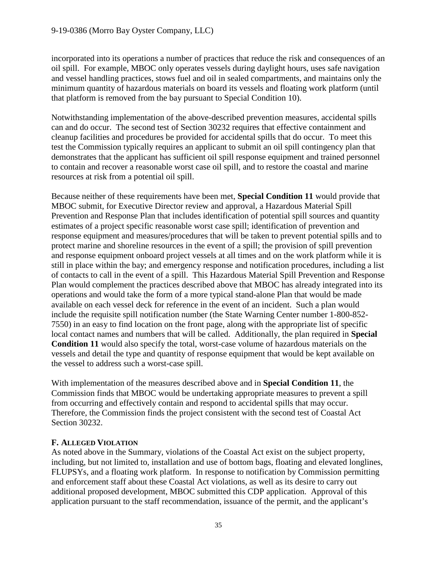incorporated into its operations a number of practices that reduce the risk and consequences of an oil spill. For example, MBOC only operates vessels during daylight hours, uses safe navigation and vessel handling practices, stows fuel and oil in sealed compartments, and maintains only the minimum quantity of hazardous materials on board its vessels and floating work platform (until that platform is removed from the bay pursuant to Special Condition 10).

Notwithstanding implementation of the above-described prevention measures, accidental spills can and do occur. The second test of Section 30232 requires that effective containment and cleanup facilities and procedures be provided for accidental spills that do occur. To meet this test the Commission typically requires an applicant to submit an oil spill contingency plan that demonstrates that the applicant has sufficient oil spill response equipment and trained personnel to contain and recover a reasonable worst case oil spill, and to restore the coastal and marine resources at risk from a potential oil spill.

Because neither of these requirements have been met, **Special Condition 11** would provide that MBOC submit, for Executive Director review and approval, a Hazardous Material Spill Prevention and Response Plan that includes identification of potential spill sources and quantity estimates of a project specific reasonable worst case spill; identification of prevention and response equipment and measures/procedures that will be taken to prevent potential spills and to protect marine and shoreline resources in the event of a spill; the provision of spill prevention and response equipment onboard project vessels at all times and on the work platform while it is still in place within the bay; and emergency response and notification procedures, including a list of contacts to call in the event of a spill. This Hazardous Material Spill Prevention and Response Plan would complement the practices described above that MBOC has already integrated into its operations and would take the form of a more typical stand-alone Plan that would be made available on each vessel deck for reference in the event of an incident. Such a plan would include the requisite spill notification number (the State Warning Center number 1-800-852- 7550) in an easy to find location on the front page, along with the appropriate list of specific local contact names and numbers that will be called. Additionally, the plan required in **Special Condition 11** would also specify the total, worst-case volume of hazardous materials on the vessels and detail the type and quantity of response equipment that would be kept available on the vessel to address such a worst-case spill.

With implementation of the measures described above and in **Special Condition 11**, the Commission finds that MBOC would be undertaking appropriate measures to prevent a spill from occurring and effectively contain and respond to accidental spills that may occur. Therefore, the Commission finds the project consistent with the second test of Coastal Act Section 30232.

## <span id="page-34-0"></span>**F. ALLEGED VIOLATION**

As noted above in the Summary, violations of the Coastal Act exist on the subject property, including, but not limited to, installation and use of bottom bags, floating and elevated longlines, FLUPSYs, and a floating work platform. In response to notification by Commission permitting and enforcement staff about these Coastal Act violations, as well as its desire to carry out additional proposed development, MBOC submitted this CDP application. Approval of this application pursuant to the staff recommendation, issuance of the permit, and the applicant's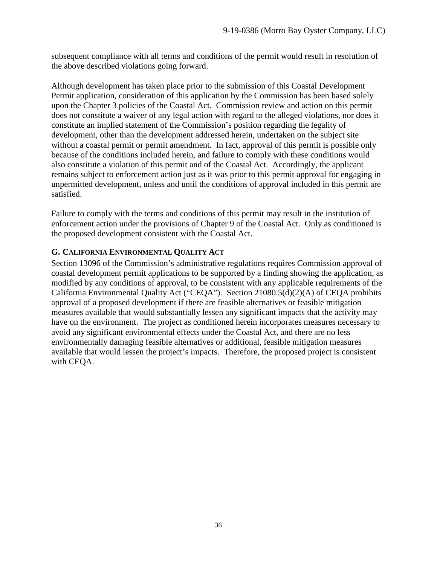subsequent compliance with all terms and conditions of the permit would result in resolution of the above described violations going forward.

Although development has taken place prior to the submission of this Coastal Development Permit application, consideration of this application by the Commission has been based solely upon the Chapter 3 policies of the Coastal Act. Commission review and action on this permit does not constitute a waiver of any legal action with regard to the alleged violations, nor does it constitute an implied statement of the Commission's position regarding the legality of development, other than the development addressed herein, undertaken on the subject site without a coastal permit or permit amendment. In fact, approval of this permit is possible only because of the conditions included herein, and failure to comply with these conditions would also constitute a violation of this permit and of the Coastal Act. Accordingly, the applicant remains subject to enforcement action just as it was prior to this permit approval for engaging in unpermitted development, unless and until the conditions of approval included in this permit are satisfied.

Failure to comply with the terms and conditions of this permit may result in the institution of enforcement action under the provisions of Chapter 9 of the Coastal Act. Only as conditioned is the proposed development consistent with the Coastal Act.

## <span id="page-35-0"></span>**G. CALIFORNIA ENVIRONMENTAL QUALITY ACT**

<span id="page-35-1"></span>Section 13096 of the Commission's administrative regulations requires Commission approval of coastal development permit applications to be supported by a finding showing the application, as modified by any conditions of approval, to be consistent with any applicable requirements of the California Environmental Quality Act ("CEQA"). Section 21080.5(d)(2)(A) of CEQA prohibits approval of a proposed development if there are feasible alternatives or feasible mitigation measures available that would substantially lessen any significant impacts that the activity may have on the environment. The project as conditioned herein incorporates measures necessary to avoid any significant environmental effects under the Coastal Act, and there are no less environmentally damaging feasible alternatives or additional, feasible mitigation measures available that would lessen the project's impacts. Therefore, the proposed project is consistent with CEQA.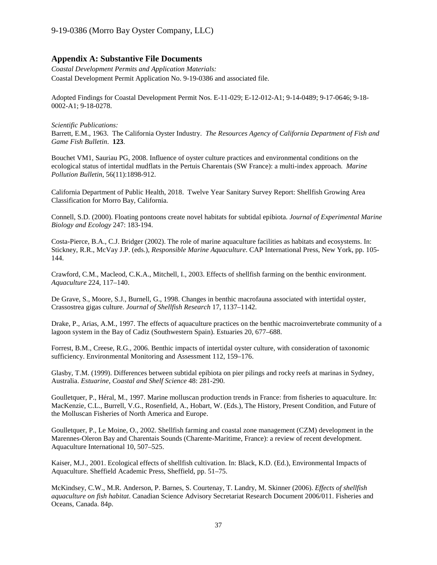#### **Appendix A: Substantive File Documents**

*Coastal Development Permits and Application Materials:*  Coastal Development Permit Application No. 9-19-0386 and associated file.

Adopted Findings for Coastal Development Permit Nos. E-11-029; E-12-012-A1; 9-14-0489; 9-17-0646; 9-18- 0002-A1; 9-18-0278.

*Scientific Publications:* Barrett, E.M., 1963. The California Oyster Industry. *The Resources Agency of California Department of Fish and Game Fish Bulletin*. **123**.

Bouchet VM1, Sauriau PG, 2008. Influence of oyster culture practices and environmental conditions on the ecological status of intertidal mudflats in the Pertuis Charentais (SW France): a multi-index approach. *Marine Pollution Bulletin*, 56(11):1898-912.

California Department of Public Health, 2018. Twelve Year Sanitary Survey Report: Shellfish Growing Area Classification for Morro Bay, California.

Connell, S.D. (2000). Floating pontoons create novel habitats for subtidal epibiota. *Journal of Experimental Marine Biology and Ecology* 247: 183-194.

Costa-Pierce, B.A., C.J. Bridger (2002). The role of marine aquaculture facilities as habitats and ecosystems. In: Stickney, R.R., McVay J.P. (eds.), *Responsible Marine Aquaculture*. CAP International Press, New York, pp. 105- 144.

Crawford, C.M., Macleod, C.K.A., Mitchell, I., 2003. Effects of shellfish farming on the benthic environment. *Aquaculture* 224, 117–140.

De Grave, S., Moore, S.J., Burnell, G., 1998. Changes in benthic macrofauna associated with intertidal oyster, Crassostrea gigas culture. *Journal of Shellfish Research* 17, 1137–1142.

Drake, P., Arias, A.M., 1997. The effects of aquaculture practices on the benthic macroinvertebrate community of a lagoon system in the Bay of Cadiz (Southwestern Spain). Estuaries 20, 677–688.

Forrest, B.M., Creese, R.G., 2006. Benthic impacts of intertidal oyster culture, with consideration of taxonomic sufficiency. Environmental Monitoring and Assessment 112, 159–176.

Glasby, T.M. (1999). Differences between subtidal epibiota on pier pilings and rocky reefs at marinas in Sydney, Australia. *Estuarine, Coastal and Shelf Science* 48: 281-290.

Goulletquer, P., Héral, M., 1997. Marine molluscan production trends in France: from fisheries to aquaculture. In: MacKenzie, C.L., Burrell, V.G., Rosenfield, A., Hobart, W. (Eds.), The History, Present Condition, and Future of the Molluscan Fisheries of North America and Europe.

Goulletquer, P., Le Moine, O., 2002. Shellfish farming and coastal zone management (CZM) development in the Marennes-Oleron Bay and Charentais Sounds (Charente-Maritime, France): a review of recent development. Aquaculture International 10, 507–525.

Kaiser, M.J., 2001. Ecological effects of shellfish cultivation. In: Black, K.D. (Ed.), Environmental Impacts of Aquaculture. Sheffield Academic Press, Sheffield, pp. 51–75.

McKindsey, C.W., M.R. Anderson, P. Barnes, S. Courtenay, T. Landry, M. Skinner (2006). *Effects of shellfish aquaculture on fish habitat*. Canadian Science Advisory Secretariat Research Document 2006/011. Fisheries and Oceans, Canada. 84p.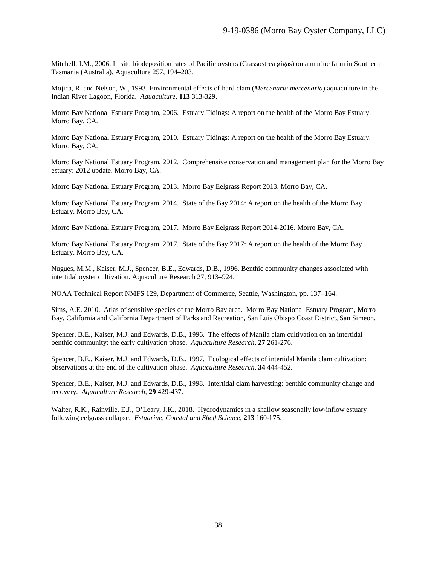Mitchell, I.M., 2006. In situ biodeposition rates of Pacific oysters (Crassostrea gigas) on a marine farm in Southern Tasmania (Australia). Aquaculture 257, 194–203.

Mojica, R. and Nelson, W., 1993. Environmental effects of hard clam (*Mercenaria mercenaria*) aquaculture in the Indian River Lagoon, Florida. *Aquaculture*, **113** 313-329.

Morro Bay National Estuary Program, 2006. Estuary Tidings: A report on the health of the Morro Bay Estuary. Morro Bay, CA.

Morro Bay National Estuary Program, 2010. Estuary Tidings: A report on the health of the Morro Bay Estuary. Morro Bay, CA.

Morro Bay National Estuary Program, 2012. Comprehensive conservation and management plan for the Morro Bay estuary: 2012 update. Morro Bay, CA.

Morro Bay National Estuary Program, 2013. Morro Bay Eelgrass Report 2013. Morro Bay, CA.

Morro Bay National Estuary Program, 2014. State of the Bay 2014: A report on the health of the Morro Bay Estuary. Morro Bay, CA.

Morro Bay National Estuary Program, 2017. Morro Bay Eelgrass Report 2014-2016. Morro Bay, CA.

Morro Bay National Estuary Program, 2017. State of the Bay 2017: A report on the health of the Morro Bay Estuary. Morro Bay, CA.

Nugues, M.M., Kaiser, M.J., Spencer, B.E., Edwards, D.B., 1996. Benthic community changes associated with intertidal oyster cultivation. Aquaculture Research 27, 913–924.

NOAA Technical Report NMFS 129, Department of Commerce, Seattle, Washington, pp. 137–164.

Sims, A.E. 2010. Atlas of sensitive species of the Morro Bay area. Morro Bay National Estuary Program, Morro Bay, California and California Department of Parks and Recreation, San Luis Obispo Coast District, San Simeon.

Spencer, B.E., Kaiser, M.J. and Edwards, D.B., 1996. The effects of Manila clam cultivation on an intertidal benthic community: the early cultivation phase. *Aquaculture Research*, **27** 261-276.

Spencer, B.E., Kaiser, M.J. and Edwards, D.B., 1997. Ecological effects of intertidal Manila clam cultivation: observations at the end of the cultivation phase. *Aquaculture Research*, **34** 444-452.

Spencer, B.E., Kaiser, M.J. and Edwards, D.B., 1998. Intertidal clam harvesting: benthic community change and recovery. *Aquaculture Research*, **29** 429-437.

Walter, R.K., Rainville, E.J., O'Leary, J.K., 2018. Hydrodynamics in a shallow seasonally low-inflow estuary following eelgrass collapse. *Estuarine, Coastal and Shelf Science*, **213** 160-175.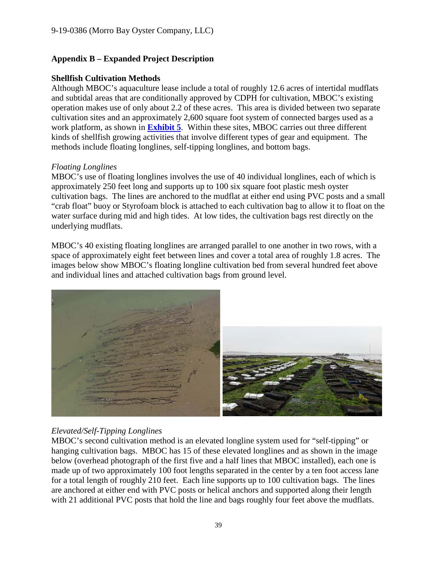## <span id="page-38-0"></span>**Appendix B – Expanded Project Description**

### **Shellfish Cultivation Methods**

Although MBOC's aquaculture lease include a total of roughly 12.6 acres of intertidal mudflats and subtidal areas that are conditionally approved by CDPH for cultivation, MBOC's existing operation makes use of only about 2.2 of these acres. This area is divided between two separate cultivation sites and an approximately 2,600 square foot system of connected barges used as a work platform, as shown in **[Exhibit 5](https://documents.coastal.ca.gov/reports/2019/12/F13a/F13a-12-2019-exhibits.pdf)**. Within these sites, MBOC carries out three different kinds of shellfish growing activities that involve different types of gear and equipment. The methods include floating longlines, self-tipping longlines, and bottom bags.

#### *Floating Longlines*

MBOC's use of floating longlines involves the use of 40 individual longlines, each of which is approximately 250 feet long and supports up to 100 six square foot plastic mesh oyster cultivation bags. The lines are anchored to the mudflat at either end using PVC posts and a small "crab float" buoy or Styrofoam block is attached to each cultivation bag to allow it to float on the water surface during mid and high tides. At low tides, the cultivation bags rest directly on the underlying mudflats.

MBOC's 40 existing floating longlines are arranged parallel to one another in two rows, with a space of approximately eight feet between lines and cover a total area of roughly 1.8 acres. The images below show MBOC's floating longline cultivation bed from several hundred feet above and individual lines and attached cultivation bags from ground level.



## *Elevated/Self-Tipping Longlines*

MBOC's second cultivation method is an elevated longline system used for "self-tipping" or hanging cultivation bags. MBOC has 15 of these elevated longlines and as shown in the image below (overhead photograph of the first five and a half lines that MBOC installed), each one is made up of two approximately 100 foot lengths separated in the center by a ten foot access lane for a total length of roughly 210 feet. Each line supports up to 100 cultivation bags. The lines are anchored at either end with PVC posts or helical anchors and supported along their length with 21 additional PVC posts that hold the line and bags roughly four feet above the mudflats.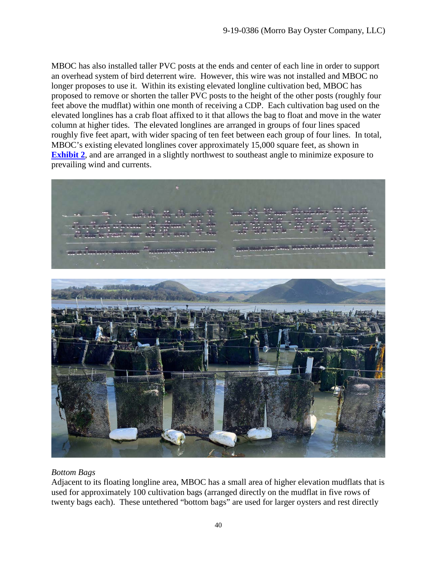MBOC has also installed taller PVC posts at the ends and center of each line in order to support an overhead system of bird deterrent wire. However, this wire was not installed and MBOC no longer proposes to use it. Within its existing elevated longline cultivation bed, MBOC has proposed to remove or shorten the taller PVC posts to the height of the other posts (roughly four feet above the mudflat) within one month of receiving a CDP. Each cultivation bag used on the elevated longlines has a crab float affixed to it that allows the bag to float and move in the water column at higher tides. The elevated longlines are arranged in groups of four lines spaced roughly five feet apart, with wider spacing of ten feet between each group of four lines. In total, MBOC's existing elevated longlines cover approximately 15,000 square feet, as shown in **[Exhibit 2](https://documents.coastal.ca.gov/reports/2019/12/F13a/F13a-12-2019-exhibits.pdf),** and are arranged in a slightly northwest to southeast angle to minimize exposure to prevailing wind and currents.



## *Bottom Bags*

Adjacent to its floating longline area, MBOC has a small area of higher elevation mudflats that is used for approximately 100 cultivation bags (arranged directly on the mudflat in five rows of twenty bags each). These untethered "bottom bags" are used for larger oysters and rest directly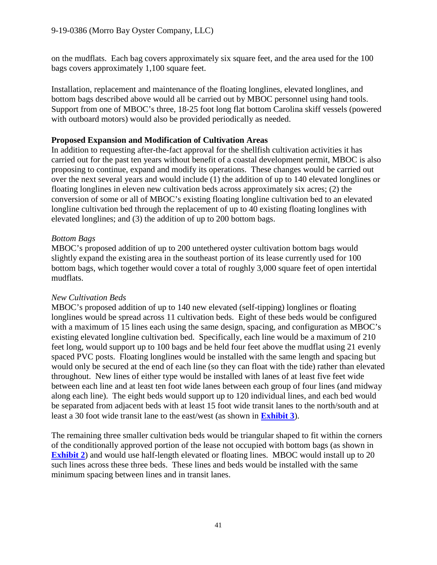on the mudflats. Each bag covers approximately six square feet, and the area used for the 100 bags covers approximately 1,100 square feet.

Installation, replacement and maintenance of the floating longlines, elevated longlines, and bottom bags described above would all be carried out by MBOC personnel using hand tools. Support from one of MBOC's three, 18-25 foot long flat bottom Carolina skiff vessels (powered with outboard motors) would also be provided periodically as needed.

#### **Proposed Expansion and Modification of Cultivation Areas**

In addition to requesting after-the-fact approval for the shellfish cultivation activities it has carried out for the past ten years without benefit of a coastal development permit, MBOC is also proposing to continue, expand and modify its operations. These changes would be carried out over the next several years and would include (1) the addition of up to 140 elevated longlines or floating longlines in eleven new cultivation beds across approximately six acres; (2) the conversion of some or all of MBOC's existing floating longline cultivation bed to an elevated longline cultivation bed through the replacement of up to 40 existing floating longlines with elevated longlines; and (3) the addition of up to 200 bottom bags.

#### *Bottom Bags*

MBOC's proposed addition of up to 200 untethered oyster cultivation bottom bags would slightly expand the existing area in the southeast portion of its lease currently used for 100 bottom bags, which together would cover a total of roughly 3,000 square feet of open intertidal mudflats.

## *New Cultivation Beds*

MBOC's proposed addition of up to 140 new elevated (self-tipping) longlines or floating longlines would be spread across 11 cultivation beds. Eight of these beds would be configured with a maximum of 15 lines each using the same design, spacing, and configuration as MBOC's existing elevated longline cultivation bed. Specifically, each line would be a maximum of 210 feet long, would support up to 100 bags and be held four feet above the mudflat using 21 evenly spaced PVC posts. Floating longlines would be installed with the same length and spacing but would only be secured at the end of each line (so they can float with the tide) rather than elevated throughout. New lines of either type would be installed with lanes of at least five feet wide between each line and at least ten foot wide lanes between each group of four lines (and midway along each line). The eight beds would support up to 120 individual lines, and each bed would be separated from adjacent beds with at least 15 foot wide transit lanes to the north/south and at least a 30 foot wide transit lane to the east/west (as shown in **[Exhibit 3](https://documents.coastal.ca.gov/reports/2019/12/F13a/F13a-12-2019-exhibits.pdf)**).

The remaining three smaller cultivation beds would be triangular shaped to fit within the corners of the conditionally approved portion of the lease not occupied with bottom bags (as shown in **[Exhibit 2](https://documents.coastal.ca.gov/reports/2019/12/F13a/F13a-12-2019-exhibits.pdf)**) and would use half-length elevated or floating lines. MBOC would install up to 20 such lines across these three beds. These lines and beds would be installed with the same minimum spacing between lines and in transit lanes.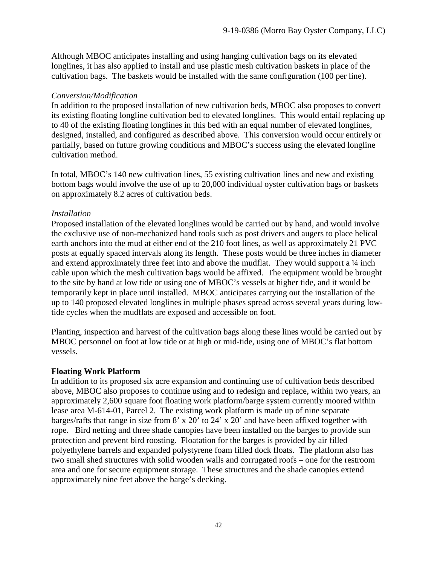Although MBOC anticipates installing and using hanging cultivation bags on its elevated longlines, it has also applied to install and use plastic mesh cultivation baskets in place of the cultivation bags. The baskets would be installed with the same configuration (100 per line).

#### *Conversion/Modification*

In addition to the proposed installation of new cultivation beds, MBOC also proposes to convert its existing floating longline cultivation bed to elevated longlines. This would entail replacing up to 40 of the existing floating longlines in this bed with an equal number of elevated longlines, designed, installed, and configured as described above. This conversion would occur entirely or partially, based on future growing conditions and MBOC's success using the elevated longline cultivation method.

In total, MBOC's 140 new cultivation lines, 55 existing cultivation lines and new and existing bottom bags would involve the use of up to 20,000 individual oyster cultivation bags or baskets on approximately 8.2 acres of cultivation beds.

## *Installation*

Proposed installation of the elevated longlines would be carried out by hand, and would involve the exclusive use of non-mechanized hand tools such as post drivers and augers to place helical earth anchors into the mud at either end of the 210 foot lines, as well as approximately 21 PVC posts at equally spaced intervals along its length. These posts would be three inches in diameter and extend approximately three feet into and above the mudflat. They would support a  $\frac{1}{4}$  inch cable upon which the mesh cultivation bags would be affixed. The equipment would be brought to the site by hand at low tide or using one of MBOC's vessels at higher tide, and it would be temporarily kept in place until installed. MBOC anticipates carrying out the installation of the up to 140 proposed elevated longlines in multiple phases spread across several years during lowtide cycles when the mudflats are exposed and accessible on foot.

Planting, inspection and harvest of the cultivation bags along these lines would be carried out by MBOC personnel on foot at low tide or at high or mid-tide, using one of MBOC's flat bottom vessels.

## **Floating Work Platform**

In addition to its proposed six acre expansion and continuing use of cultivation beds described above, MBOC also proposes to continue using and to redesign and replace, within two years, an approximately 2,600 square foot floating work platform/barge system currently moored within lease area M-614-01, Parcel 2. The existing work platform is made up of nine separate barges/rafts that range in size from 8' x 20' to 24' x 20' and have been affixed together with rope. Bird netting and three shade canopies have been installed on the barges to provide sun protection and prevent bird roosting. Floatation for the barges is provided by air filled polyethylene barrels and expanded polystyrene foam filled dock floats. The platform also has two small shed structures with solid wooden walls and corrugated roofs – one for the restroom area and one for secure equipment storage. These structures and the shade canopies extend approximately nine feet above the barge's decking.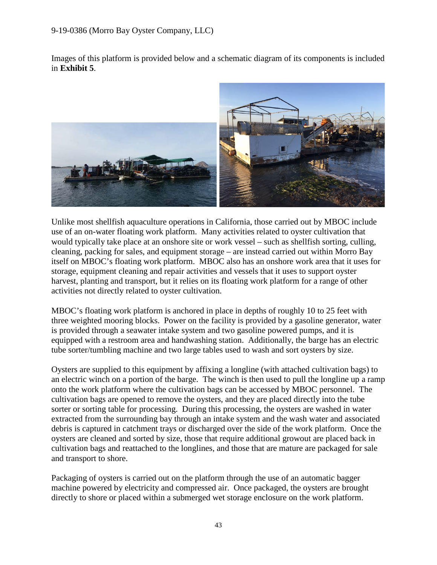### 9-19-0386 (Morro Bay Oyster Company, LLC)

Images of this platform is provided below and a schematic diagram of its components is included in **Exhibit 5**.



Unlike most shellfish aquaculture operations in California, those carried out by MBOC include use of an on-water floating work platform. Many activities related to oyster cultivation that would typically take place at an onshore site or work vessel – such as shellfish sorting, culling, cleaning, packing for sales, and equipment storage – are instead carried out within Morro Bay itself on MBOC's floating work platform. MBOC also has an onshore work area that it uses for storage, equipment cleaning and repair activities and vessels that it uses to support oyster harvest, planting and transport, but it relies on its floating work platform for a range of other activities not directly related to oyster cultivation.

MBOC's floating work platform is anchored in place in depths of roughly 10 to 25 feet with three weighted mooring blocks. Power on the facility is provided by a gasoline generator, water is provided through a seawater intake system and two gasoline powered pumps, and it is equipped with a restroom area and handwashing station. Additionally, the barge has an electric tube sorter/tumbling machine and two large tables used to wash and sort oysters by size.

Oysters are supplied to this equipment by affixing a longline (with attached cultivation bags) to an electric winch on a portion of the barge. The winch is then used to pull the longline up a ramp onto the work platform where the cultivation bags can be accessed by MBOC personnel. The cultivation bags are opened to remove the oysters, and they are placed directly into the tube sorter or sorting table for processing. During this processing, the oysters are washed in water extracted from the surrounding bay through an intake system and the wash water and associated debris is captured in catchment trays or discharged over the side of the work platform. Once the oysters are cleaned and sorted by size, those that require additional growout are placed back in cultivation bags and reattached to the longlines, and those that are mature are packaged for sale and transport to shore.

Packaging of oysters is carried out on the platform through the use of an automatic bagger machine powered by electricity and compressed air. Once packaged, the oysters are brought directly to shore or placed within a submerged wet storage enclosure on the work platform.